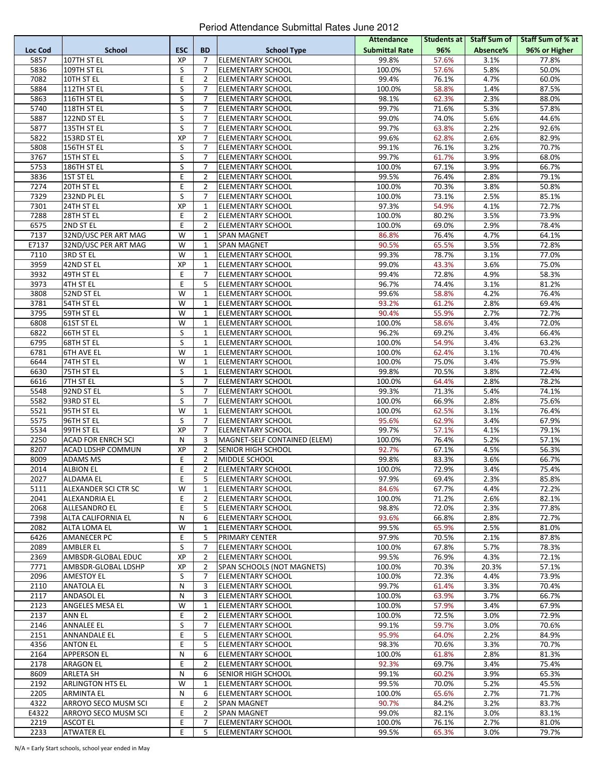|              |                                 |            |                     |                                                      | <b>Attendance</b>     | Students at    |              | Staff Sum of Staff Sum of % at |
|--------------|---------------------------------|------------|---------------------|------------------------------------------------------|-----------------------|----------------|--------------|--------------------------------|
| Loc Cod      | <b>School</b>                   | <b>ESC</b> | <b>BD</b>           | <b>School Type</b>                                   | <b>Submittal Rate</b> | 96%            | Absence%     | 96% or Higher                  |
| 5857         | 107TH ST EL                     | XP         | 7                   | <b>ELEMENTARY SCHOOL</b>                             | 99.8%                 | 57.6%          | 3.1%         | 77.8%                          |
| 5836         | 109TH ST EL                     | S          | $\overline{7}$      | <b>ELEMENTARY SCHOOL</b>                             | 100.0%                | 57.6%          | 5.8%         | 50.0%                          |
| 7082         | 10TH ST EL                      | E          | $\overline{2}$      | <b>ELEMENTARY SCHOOL</b>                             | 99.4%                 | 76.1%          | 4.7%         | 60.0%                          |
| 5884         | 112TH ST EL                     | S          | $\overline{7}$      | <b>ELEMENTARY SCHOOL</b>                             | 100.0%                | 58.8%          | 1.4%         | 87.5%                          |
| 5863         | 116TH ST EL                     | S          | $\overline{7}$      | <b>ELEMENTARY SCHOOL</b>                             | 98.1%                 | 62.3%          | 2.3%         | 88.0%                          |
| 5740         | 118TH ST EL                     | S          | 7                   | <b>ELEMENTARY SCHOOL</b>                             | 99.7%                 | 71.6%          | 5.3%         | 57.8%                          |
| 5887         | 122ND ST EL                     | S          | $\overline{7}$      | <b>ELEMENTARY SCHOOL</b>                             | 99.0%                 | 74.0%          | 5.6%         | 44.6%                          |
| 5877         | 135TH ST EL                     | S          | $\overline{7}$      | <b>ELEMENTARY SCHOOL</b>                             | 99.7%                 | 63.8%          | 2.2%         | 92.6%                          |
| 5822         | 153RD ST EL                     | XP         | 7                   | <b>ELEMENTARY SCHOOL</b>                             | 99.6%                 | 62.8%          | 2.6%         | 82.9%                          |
| 5808         | 156TH ST EL                     | S          | $\overline{7}$      | <b>ELEMENTARY SCHOOL</b>                             | 99.1%                 | 76.1%          | 3.2%         | 70.7%                          |
| 3767         | 15TH ST EL                      | S          | $\overline{7}$      | <b>ELEMENTARY SCHOOL</b>                             | 99.7%                 | 61.7%          | 3.9%         | 68.0%                          |
| 5753         | 186TH ST EL                     | S          | $\overline{7}$      | <b>ELEMENTARY SCHOOL</b>                             | 100.0%                | 67.1%          | 3.9%         | 66.7%                          |
| 3836         | 1ST ST EL                       | E          | $\overline{2}$      | <b>ELEMENTARY SCHOOL</b>                             | 99.5%                 | 76.4%          | 2.8%         | 79.1%                          |
| 7274         | 20TH ST EL                      | E          | $\overline{2}$      | <b>ELEMENTARY SCHOOL</b>                             | 100.0%                | 70.3%          | 3.8%         | 50.8%                          |
| 7329         | 232ND PL EL                     | S          | $\overline{7}$      | <b>ELEMENTARY SCHOOL</b>                             | 100.0%                | 73.1%          | 2.5%         | 85.1%                          |
| 7301         | 24TH ST EL                      | XP         | $\mathbf{1}$        | <b>ELEMENTARY SCHOOL</b>                             | 97.3%                 | 54.9%          | 4.1%         | 72.7%                          |
| 7288         | 28TH ST EL                      | E          | $\overline{2}$      | <b>ELEMENTARY SCHOOL</b>                             | 100.0%                | 80.2%          | 3.5%         | 73.9%                          |
| 6575         | 2ND ST EL                       | E          | $\overline{2}$      | <b>ELEMENTARY SCHOOL</b>                             | 100.0%                | 69.0%          | 2.9%         | 78.4%                          |
| 7137         | 32ND/USC PER ART MAG            | W          | $\mathbf{1}$        | <b>SPAN MAGNET</b>                                   | 86.8%                 | 76.4%          | 4.7%         | 64.1%                          |
| E7137        | 32ND/USC PER ART MAG            | W          | $\mathbf{1}$        | <b>SPAN MAGNET</b>                                   | 90.5%                 | 65.5%          | 3.5%         | 72.8%                          |
| 7110         | 3RD ST EL                       | W          | 1                   | <b>ELEMENTARY SCHOOL</b>                             | 99.3%                 | 78.7%          | 3.1%         | 77.0%                          |
| 3959         | 42ND ST EL                      | XP         | $\mathbf{1}$        | <b>ELEMENTARY SCHOOL</b>                             | 99.0%                 | 43.3%          | 3.6%         | 75.0%                          |
| 3932         | 49TH ST EL                      | E          | $\overline{7}$      | <b>ELEMENTARY SCHOOL</b>                             | 99.4%                 | 72.8%          | 4.9%         | 58.3%                          |
| 3973         | 4TH ST EL                       | E          | 5                   | <b>ELEMENTARY SCHOOL</b>                             | 96.7%                 | 74.4%          | 3.1%         | 81.2%                          |
| 3808         | 52ND ST EL                      | W          | $\mathbf{1}$        | <b>ELEMENTARY SCHOOL</b>                             | 99.6%                 | 58.8%          | 4.2%         | 76.4%                          |
| 3781         | 54TH ST EL                      | W          | $\mathbf{1}$        | <b>ELEMENTARY SCHOOL</b>                             | 93.2%                 | 61.2%          | 2.8%         | 69.4%                          |
| 3795         | 59TH ST EL                      | W          | 1                   | <b>ELEMENTARY SCHOOL</b>                             | 90.4%                 | 55.9%          | 2.7%         | 72.7%                          |
| 6808         | 61ST ST EL                      | W          | $\mathbf{1}$        | <b>ELEMENTARY SCHOOL</b>                             | 100.0%                | 58.6%          | 3.4%         | 72.0%                          |
| 6822         | 66TH ST EL                      | S          | $\mathbf{1}$        | <b>ELEMENTARY SCHOOL</b>                             | 96.2%                 | 69.2%          | 3.4%         | 66.4%                          |
| 6795         | 68TH ST EL                      | S          | 1                   | <b>ELEMENTARY SCHOOL</b>                             | 100.0%                | 54.9%          | 3.4%         | 63.2%                          |
| 6781         | 6TH AVE EL                      | W          | $\mathbf{1}$        | <b>ELEMENTARY SCHOOL</b>                             | 100.0%                | 62.4%          | 3.1%         | 70.4%                          |
| 6644         | 74TH ST EL                      | W          | $\mathbf{1}$        | <b>ELEMENTARY SCHOOL</b>                             | 100.0%                | 75.0%          | 3.4%         | 75.9%                          |
| 6630         | 75TH ST EL                      | S          | $\mathbf{1}$        | <b>ELEMENTARY SCHOOL</b>                             | 99.8%                 | 70.5%          | 3.8%         | 72.4%                          |
| 6616         | 7TH ST EL                       | S          | $\overline{7}$      | <b>ELEMENTARY SCHOOL</b>                             | 100.0%                | 64.4%          | 2.8%         | 78.2%                          |
| 5548         | 92ND ST EL                      | S          | $\overline{7}$      | <b>ELEMENTARY SCHOOL</b>                             | 99.3%                 | 71.3%          | 5.4%         | 74.1%                          |
| 5582         | 93RD ST EL                      | S          | $\overline{7}$      | <b>ELEMENTARY SCHOOL</b>                             | 100.0%                | 66.9%          | 2.8%         | 75.6%                          |
| 5521         | 95TH ST EL                      | W          | $\mathbf{1}$        | <b>ELEMENTARY SCHOOL</b>                             | 100.0%                | 62.5%          | 3.1%         | 76.4%                          |
| 5575         | 96TH ST EL                      | S          | $\overline{7}$      | <b>ELEMENTARY SCHOOL</b>                             | 95.6%                 | 62.9%          | 3.4%         | 67.9%                          |
| 5534         | 99TH ST EL                      | XP         | $\overline{7}$      | <b>ELEMENTARY SCHOOL</b>                             | 99.7%                 | 57.1%          | 4.1%         | 79.1%                          |
| 2250         | <b>ACAD FOR ENRCH SCI</b>       | N          | 3                   | MAGNET-SELF CONTAINED (ELEM)                         | 100.0%                | 76.4%          | 5.2%         | 57.1%                          |
| 8207         | ACAD LDSHP COMMUN               | XP         | $\overline{2}$      | SENIOR HIGH SCHOOL                                   | 92.7%                 | 67.1%          | 4.5%         | 56.3%                          |
| 8009         | ADAMS MS                        | E          | $\overline{2}$      | MIDDLE SCHOOL                                        | 99.8%                 | 83.3%          | 3.6%         | 66.7%                          |
| 2014         | <b>ALBION EL</b>                | E          | $\overline{2}$      | <b>ELEMENTARY SCHOOL</b>                             | 100.0%                | 72.9%          | 3.4%         | 75.4%                          |
| 2027         | ALDAMA EL                       | E          | 5.                  | <b>ELEMENTARY SCHOOL</b>                             | 97.9%                 | 69.4%          | 2.3%         | 85.8%                          |
| 5111         | ALEXANDER SCI CTR SC            | W          | $\mathbf{1}$        | <b>ELEMENTARY SCHOOL</b>                             | 84.6%                 | 67.7%          | 4.4%         | 72.2%                          |
| 2041         | ALEXANDRIA EL                   | Ε          | $\overline{2}$      | <b>ELEMENTARY SCHOOL</b>                             | 100.0%                | 71.2%          | 2.6%         | 82.1%                          |
| 2068         | ALLESANDRO EL                   | E          | 5                   | <b>ELEMENTARY SCHOOL</b>                             | 98.8%                 | 72.0%          | 2.3%         | 77.8%                          |
| 7398         | ALTA CALIFORNIA EL              | N          | 6                   | <b>ELEMENTARY SCHOOL</b>                             | 93.6%                 | 66.8%          | 2.8%         | 72.7%                          |
| 2082         | ALTA LOMA EL                    | W          | $\mathbf{1}$        | <b>ELEMENTARY SCHOOL</b>                             | 99.5%                 | 65.9%          | 2.5%         | 81.0%                          |
| 6426         | AMANECER PC                     | E          | 5                   | PRIMARY CENTER                                       | 97.9%                 | 70.5%          | 2.1%         | 87.8%                          |
| 2089         | AMBLER EL                       | S          | $\overline{7}$      | <b>ELEMENTARY SCHOOL</b>                             | 100.0%                | 67.8%          | 5.7%         | 78.3%                          |
| 2369         | AMBSDR-GLOBAL EDUC              | XP         | $\overline{2}$      | <b>ELEMENTARY SCHOOL</b>                             | 99.5%                 | 76.9%          | 4.3%         | 72.1%                          |
| 7771         | AMBSDR-GLOBAL LDSHP             | XP         | $\overline{2}$      | SPAN SCHOOLS (NOT MAGNETS)                           | 100.0%                | 70.3%          | 20.3%        | 57.1%                          |
| 2096         | AMESTOY EL                      | S          | 7                   | <b>ELEMENTARY SCHOOL</b>                             | 100.0%                | 72.3%          | 4.4%         | 73.9%                          |
| 2110         | <b>ANATOLA EL</b>               | N          | 3                   | <b>ELEMENTARY SCHOOL</b>                             | 99.7%                 | 61.4%          | 3.3%         | 70.4%                          |
| 2117         | ANDASOL EL                      | N          | 3                   | <b>ELEMENTARY SCHOOL</b>                             | 100.0%                | 63.9%          | 3.7%         | 66.7%                          |
| 2123         |                                 | W          | 1                   |                                                      |                       |                | 3.4%         |                                |
| 2137         | ANGELES MESA EL<br>ANN EL       | E          | $\overline{2}$      | <b>ELEMENTARY SCHOOL</b><br><b>ELEMENTARY SCHOOL</b> | 100.0%<br>100.0%      | 57.9%<br>72.5% | 3.0%         | 67.9%<br>72.9%                 |
| 2146         | <b>ANNALEE EL</b>               | S          | 7                   | <b>ELEMENTARY SCHOOL</b>                             | 99.1%                 | 59.7%          | 3.0%         | 70.6%                          |
|              |                                 | E          |                     |                                                      |                       |                |              |                                |
| 2151<br>4356 | ANNANDALE EL<br><b>ANTON EL</b> | E          | 5<br>5              | <b>ELEMENTARY SCHOOL</b><br><b>ELEMENTARY SCHOOL</b> | 95.9%<br>98.3%        | 64.0%<br>70.6% | 2.2%<br>3.3% | 84.9%<br>70.7%                 |
|              |                                 |            |                     |                                                      |                       |                |              |                                |
| 2164<br>2178 | <b>APPERSON EL</b>              | N<br>E     | 6<br>$\overline{2}$ | <b>ELEMENTARY SCHOOL</b>                             | 100.0%                | 61.8%          | 2.8%         | 81.3%                          |
| 8609         | ARAGON EL<br><b>ARLETA SH</b>   | N          | 6                   | <b>ELEMENTARY SCHOOL</b><br>SENIOR HIGH SCHOOL       | 92.3%<br>99.1%        | 69.7%<br>60.2% | 3.4%<br>3.9% | 75.4%<br>65.3%                 |
| 2192         |                                 | W          |                     |                                                      |                       |                |              |                                |
|              | <b>ARLINGTON HTS EL</b>         |            | $\mathbf{1}$        | <b>ELEMENTARY SCHOOL</b>                             | 99.5%                 | 70.0%          | 5.2%         | 45.5%                          |
| 2205         | <b>ARMINTA EL</b>               | N          | 6                   | <b>ELEMENTARY SCHOOL</b>                             | 100.0%                | 65.6%          | 2.7%         | 71.7%                          |
| 4322         | ARROYO SECO MUSM SCI            | E          | $\overline{2}$      | <b>SPAN MAGNET</b>                                   | 90.7%                 | 84.2%          | 3.2%         | 83.7%                          |
| E4322        | ARROYO SECO MUSM SCI            | E          | $\overline{2}$      | <b>SPAN MAGNET</b>                                   | 99.0%                 | 82.1%          | 3.0%         | 83.1%                          |
| 2219         | <b>ASCOT EL</b>                 | E          | 7                   | <b>ELEMENTARY SCHOOL</b>                             | 100.0%                | 76.1%          | 2.7%         | 81.0%                          |
| 2233         | ATWATER EL                      | E          | 5                   | <b>ELEMENTARY SCHOOL</b>                             | 99.5%                 | 65.3%          | 3.0%         | 79.7%                          |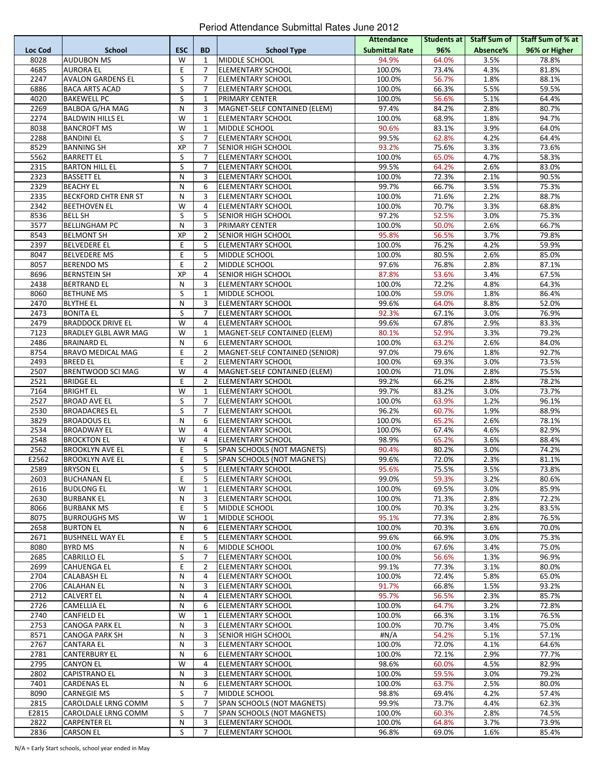|         |                             |            |                |                                | <b>Attendance</b>     | Students at |          | Staff Sum of Staff Sum of % at |
|---------|-----------------------------|------------|----------------|--------------------------------|-----------------------|-------------|----------|--------------------------------|
| Loc Cod | <b>School</b>               | <b>ESC</b> | <b>BD</b>      | <b>School Type</b>             | <b>Submittal Rate</b> | 96%         | Absence% | 96% or Higher                  |
| 8028    | <b>AUDUBON MS</b>           | W          | $\mathbf{1}$   | MIDDLE SCHOOL                  | 94.9%                 | 64.0%       | 3.5%     | 78.8%                          |
| 4685    | <b>AURORA EL</b>            | E          | 7              | <b>ELEMENTARY SCHOOL</b>       | 100.0%                | 73.4%       | 4.3%     | 81.8%                          |
| 2247    | <b>AVALON GARDENS EL</b>    | S          | 7              | <b>ELEMENTARY SCHOOL</b>       | 100.0%                | 56.7%       | 1.8%     | 88.1%                          |
|         |                             |            |                |                                |                       |             |          | 59.5%                          |
| 6886    | <b>BACA ARTS ACAD</b>       | S          | 7              | <b>ELEMENTARY SCHOOL</b>       | 100.0%                | 66.3%       | 5.5%     |                                |
| 4020    | <b>BAKEWELL PC</b>          | S          | $\mathbf{1}$   | PRIMARY CENTER                 | 100.0%                | 56.6%       | 5.1%     | 64.4%                          |
| 2269    | <b>BALBOA G/HA MAG</b>      | N          | 3              | MAGNET-SELF CONTAINED (ELEM)   | 97.4%                 | 84.2%       | 2.8%     | 80.7%                          |
| 2274    | <b>BALDWIN HILLS EL</b>     | W          | $\mathbf{1}$   | <b>ELEMENTARY SCHOOL</b>       | 100.0%                | 68.9%       | 1.8%     | 94.7%                          |
| 8038    | <b>BANCROFT MS</b>          | W          | 1              | MIDDLE SCHOOL                  | 90.6%                 | 83.1%       | 3.9%     | 64.0%                          |
| 2288    | <b>BANDINI EL</b>           | S          | 7              | <b>ELEMENTARY SCHOOL</b>       | 99.5%                 | 62.8%       | 4.2%     | 64.4%                          |
| 8529    | <b>BANNING SH</b>           | XP         | 7              | SENIOR HIGH SCHOOL             | 93.2%                 | 75.6%       | 3.3%     | 73.6%                          |
| 5562    | <b>BARRETT EL</b>           | S          | $\overline{7}$ | <b>ELEMENTARY SCHOOL</b>       | 100.0%                | 65.0%       | 4.7%     | 58.3%                          |
|         |                             |            |                |                                |                       |             |          |                                |
| 2315    | <b>BARTON HILL EL</b>       | S          | 7              | <b>ELEMENTARY SCHOOL</b>       | 99.5%                 | 64.2%       | 2.6%     | 83.0%                          |
| 2323    | <b>BASSETT EL</b>           | N          | 3              | ELEMENTARY SCHOOL              | 100.0%                | 72.3%       | 2.1%     | 90.5%                          |
| 2329    | <b>BEACHY EL</b>            | ${\sf N}$  | 6              | <b>ELEMENTARY SCHOOL</b>       | 99.7%                 | 66.7%       | 3.5%     | 75.3%                          |
| 2335    | <b>BECKFORD CHTR ENR ST</b> | ${\sf N}$  | 3              | <b>ELEMENTARY SCHOOL</b>       | 100.0%                | 71.6%       | 2.2%     | 88.7%                          |
| 2342    | <b>BEETHOVEN EL</b>         | W          | 4              | ELEMENTARY SCHOOL              | 100.0%                | 70.7%       | 3.3%     | 68.8%                          |
| 8536    | <b>BELL SH</b>              | S          | 5              | SENIOR HIGH SCHOOL             | 97.2%                 | 52.5%       | 3.0%     | 75.3%                          |
| 3577    | <b>BELLINGHAM PC</b>        | ${\sf N}$  | 3              | PRIMARY CENTER                 | 100.0%                | 50.0%       | 2.6%     | 66.7%                          |
| 8543    | <b>BELMONT SH</b>           | XP         | $\overline{2}$ | SENIOR HIGH SCHOOL             | 95.8%                 | 56.5%       | 3.7%     | 79.8%                          |
|         |                             |            |                |                                |                       |             |          |                                |
| 2397    | <b>BELVEDERE EL</b>         | E          | 5              | <b>ELEMENTARY SCHOOL</b>       | 100.0%                | 76.2%       | 4.2%     | 59.9%                          |
| 8047    | <b>BELVEDERE MS</b>         | E          | 5              | MIDDLE SCHOOL                  | 100.0%                | 80.5%       | 2.6%     | 85.0%                          |
| 8057    | <b>BERENDO MS</b>           | E          | $\overline{2}$ | MIDDLE SCHOOL                  | 97.6%                 | 76.8%       | 2.8%     | 87.1%                          |
| 8696    | <b>BERNSTEIN SH</b>         | XP         | 4              | SENIOR HIGH SCHOOL             | 87.8%                 | 53.6%       | 3.4%     | 67.5%                          |
| 2438    | <b>BERTRAND EL</b>          | ${\sf N}$  | 3              | <b>ELEMENTARY SCHOOL</b>       | 100.0%                | 72.2%       | 4.8%     | 64.3%                          |
| 8060    | <b>BETHUNE MS</b>           | S          | $\mathbf{1}$   | MIDDLE SCHOOL                  | 100.0%                | 59.0%       | 1.8%     | 86.4%                          |
| 2470    | <b>BLYTHE EL</b>            | ${\sf N}$  | 3              | <b>ELEMENTARY SCHOOL</b>       | 99.6%                 | 64.0%       | 8.8%     | 52.0%                          |
|         |                             |            |                |                                |                       |             |          |                                |
| 2473    | <b>BONITA EL</b>            | S          | $\overline{7}$ | <b>ELEMENTARY SCHOOL</b>       | 92.3%                 | 67.1%       | 3.0%     | 76.9%                          |
| 2479    | <b>BRADDOCK DRIVE EL</b>    | W          | 4              | <b>ELEMENTARY SCHOOL</b>       | 99.6%                 | 67.8%       | 2.9%     | 83.3%                          |
| 7123    | BRADLEY GLBL AWR MAG        | W          | $\mathbf{1}$   | MAGNET-SELF CONTAINED (ELEM)   | 80.1%                 | 52.9%       | 3.3%     | 79.2%                          |
| 2486    | <b>BRAINARD EL</b>          | ${\sf N}$  | 6              | <b>ELEMENTARY SCHOOL</b>       | 100.0%                | 63.2%       | 2.6%     | 84.0%                          |
| 8754    | <b>BRAVO MEDICAL MAG</b>    | E          | $\overline{2}$ | MAGNET-SELF CONTAINED (SENIOR) | 97.0%                 | 79.6%       | 1.8%     | 92.7%                          |
| 2493    | <b>BREED EL</b>             | E          | $\overline{2}$ | ELEMENTARY SCHOOL              | 100.0%                | 69.3%       | 3.0%     | 73.5%                          |
| 2507    | BRENTWOOD SCI MAG           | W          | 4              | MAGNET-SELF CONTAINED (ELEM)   | 100.0%                | 71.0%       | 2.8%     | 75.5%                          |
| 2521    | <b>BRIDGE EL</b>            | E          | $\overline{2}$ | <b>ELEMENTARY SCHOOL</b>       | 99.2%                 | 66.2%       | 2.8%     | 78.2%                          |
|         |                             |            |                |                                |                       |             |          |                                |
| 7164    | <b>BRIGHT EL</b>            | W          | $\mathbf{1}$   | ELEMENTARY SCHOOL              | 99.7%                 | 83.2%       | 3.0%     | 73.7%                          |
| 2527    | <b>BROAD AVE EL</b>         | S          | $\overline{7}$ | <b>ELEMENTARY SCHOOL</b>       | 100.0%                | 63.9%       | 1.2%     | 96.1%                          |
| 2530    | <b>BROADACRES EL</b>        | S          | $\overline{7}$ | <b>ELEMENTARY SCHOOL</b>       | 96.2%                 | 60.7%       | 1.9%     | 88.9%                          |
| 3829    | <b>BROADOUS EL</b>          | N          | 6              | ELEMENTARY SCHOOL              | 100.0%                | 65.2%       | 2.6%     | 78.1%                          |
| 2534    | <b>BROADWAY EL</b>          | W          | 4              | <b>ELEMENTARY SCHOOL</b>       | 100.0%                | 67.4%       | 4.6%     | 82.9%                          |
| 2548    | <b>BROCKTON EL</b>          | W          | 4              | <b>ELEMENTARY SCHOOL</b>       | 98.9%                 | 65.2%       | 3.6%     | 88.4%                          |
| 2562    | <b>BROOKLYN AVE EL</b>      | E          | 5              | SPAN SCHOOLS (NOT MAGNETS)     | 90.4%                 | 80.2%       | 3.0%     | 74.2%                          |
| E2562   |                             | E          | 5              |                                | 99.6%                 |             |          |                                |
|         | <b>BROOKLYN AVE EL</b>      |            |                | SPAN SCHOOLS (NOT MAGNETS)     |                       | 72.0%       | 2.3%     | 81.1%                          |
| 2589    | <b>BRYSON EL</b>            | S          | 5              | <b>ELEMENTARY SCHOOL</b>       | 95.6%                 | 75.5%       | 3.5%     | 73.8%                          |
| 2603    | <b>BUCHANAN EL</b>          | E          | 5              | <b>ELEMENTARY SCHOOL</b>       | 99.0%                 | 59.3%       | 3.2%     | 80.6%                          |
| 2616    | <b>BUDLONG EL</b>           | W          | $\mathbf{1}$   | <b>ELEMENTARY SCHOOL</b>       | 100.0%                | 69.5%       | 3.0%     | 85.9%                          |
| 2630    | <b>BURBANK EL</b>           | Ν          | 3              | <b>ELEMENTARY SCHOOL</b>       | 100.0%                | 71.3%       | 2.8%     | 72.2%                          |
| 8066    | <b>BURBANK MS</b>           | E          | 5              | MIDDLE SCHOOL                  | 100.0%                | 70.3%       | 3.2%     | 83.5%                          |
| 8075    | <b>BURROUGHS MS</b>         | W          | $\mathbf{1}$   | MIDDLE SCHOOL                  | 95.1%                 | 77.3%       | 2.8%     | 76.5%                          |
| 2658    | <b>BURTON EL</b>            | Ν          | 6              | <b>ELEMENTARY SCHOOL</b>       | 100.0%                | 70.3%       | 3.6%     | 70.0%                          |
| 2671    | <b>BUSHNELL WAY EL</b>      | E          | 5              | <b>ELEMENTARY SCHOOL</b>       | 99.6%                 | 66.9%       | 3.0%     | 75.3%                          |
| 8080    |                             | N          | 6              | MIDDLE SCHOOL                  | 100.0%                | 67.6%       | 3.4%     | 75.0%                          |
|         | <b>BYRD MS</b>              |            |                |                                |                       |             |          |                                |
| 2685    | <b>CABRILLO EL</b>          | S          | $\overline{7}$ | <b>ELEMENTARY SCHOOL</b>       | 100.0%                | 56.6%       | 1.3%     | 96.9%                          |
| 2699    | <b>CAHUENGA EL</b>          | E          | $\overline{2}$ | <b>ELEMENTARY SCHOOL</b>       | 99.1%                 | 77.3%       | 3.1%     | 80.0%                          |
| 2704    | <b>CALABASH EL</b>          | Ν          | 4              | ELEMENTARY SCHOOL              | 100.0%                | 72.4%       | 5.8%     | 65.0%                          |
| 2706    | <b>CALAHAN EL</b>           | N          | 3              | <b>ELEMENTARY SCHOOL</b>       | 91.7%                 | 66.8%       | 1.5%     | 93.2%                          |
| 2712    | <b>CALVERT EL</b>           | N          | 4              | <b>ELEMENTARY SCHOOL</b>       | 95.7%                 | 56.5%       | 2.3%     | 85.7%                          |
| 2726    | <b>CAMELLIA EL</b>          | Ν          | 6              | ELEMENTARY SCHOOL              | 100.0%                | 64.7%       | 3.2%     | 72.8%                          |
| 2740    | <b>CANFIELD EL</b>          | W          | $\mathbf{1}$   | <b>ELEMENTARY SCHOOL</b>       | 100.0%                | 66.3%       | 3.1%     | 76.5%                          |
| 2753    | CANOGA PARK EL              | N          | 3              | <b>ELEMENTARY SCHOOL</b>       | 100.0%                | 70.7%       | 3.4%     | 75.0%                          |
|         |                             |            |                |                                |                       |             |          |                                |
| 8571    | <b>CANOGA PARK SH</b>       | Ν          | 3              | SENIOR HIGH SCHOOL             | #N/A                  | 54.2%       | 5.1%     | 57.1%                          |
| 2767    | <b>CANTARA EL</b>           | Ν          | 3              | <b>ELEMENTARY SCHOOL</b>       | 100.0%                | 72.0%       | 4.1%     | 64.6%                          |
| 2781    | <b>CANTERBURY EL</b>        | N          | 6              | <b>ELEMENTARY SCHOOL</b>       | 100.0%                | 72.1%       | 2.9%     | 77.7%                          |
| 2795    | <b>CANYON EL</b>            | W          | 4              | ELEMENTARY SCHOOL              | 98.6%                 | 60.0%       | 4.5%     | 82.9%                          |
| 2802    | <b>CAPISTRANO EL</b>        | N          | 3              | ELEMENTARY SCHOOL              | 100.0%                | 59.5%       | 3.0%     | 79.2%                          |
| 7401    | <b>CARDENAS EL</b>          | N          | 6              | <b>ELEMENTARY SCHOOL</b>       | 100.0%                | 63.7%       | 2.5%     | 80.0%                          |
| 8090    | <b>CARNEGIE MS</b>          | S          | $\overline{7}$ | MIDDLE SCHOOL                  | 98.8%                 | 69.4%       | 4.2%     | 57.4%                          |
| 2815    | CAROLDALE LRNG COMM         | S          | $\overline{7}$ | SPAN SCHOOLS (NOT MAGNETS)     | 99.9%                 | 73.7%       | 4.4%     | 62.3%                          |
|         |                             |            |                |                                |                       |             |          |                                |
| E2815   | CAROLDALE LRNG COMM         | S          | $\overline{7}$ | SPAN SCHOOLS (NOT MAGNETS)     | 100.0%                | 60.3%       | 2.8%     | 74.5%                          |
| 2822    | <b>CARPENTER EL</b>         | ${\sf N}$  | 3              | ELEMENTARY SCHOOL              | 100.0%                | 64.8%       | 3.7%     | 73.9%                          |
| 2836    | <b>CARSON EL</b>            | S          | 7              | <b>ELEMENTARY SCHOOL</b>       | 96.8%                 | 69.0%       | 1.6%     | 85.4%                          |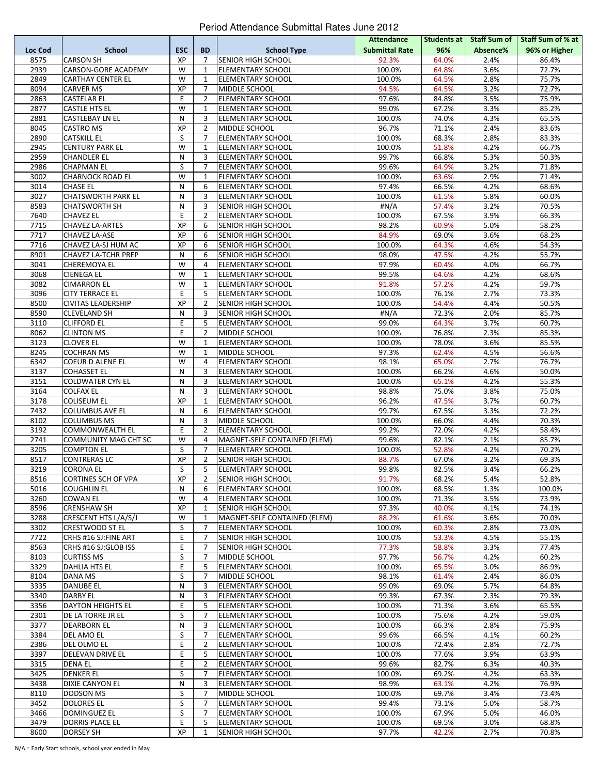|         |                           |            |                |                              | <b>Attendance</b>     | Students at |          | Staff Sum of Staff Sum of % at |
|---------|---------------------------|------------|----------------|------------------------------|-----------------------|-------------|----------|--------------------------------|
| Loc Cod | <b>School</b>             | <b>ESC</b> | <b>BD</b>      | <b>School Type</b>           | <b>Submittal Rate</b> | 96%         | Absence% | 96% or Higher                  |
| 8575    | <b>CARSON SH</b>          | XP         | $\overline{7}$ | SENIOR HIGH SCHOOL           | 92.3%                 | 64.0%       | 2.4%     | 86.4%                          |
| 2939    | CARSON-GORE ACADEMY       | W          | $\mathbf{1}$   | <b>ELEMENTARY SCHOOL</b>     | 100.0%                | 64.8%       | 3.6%     | 72.7%                          |
| 2849    | <b>CARTHAY CENTER EL</b>  | W          | $\mathbf{1}$   | <b>ELEMENTARY SCHOOL</b>     | 100.0%                | 64.5%       | 2.8%     | 75.7%                          |
|         |                           |            |                |                              |                       |             |          |                                |
| 8094    | <b>CARVER MS</b>          | XP         | 7              | MIDDLE SCHOOL                | 94.5%                 | 64.5%       | 3.2%     | 72.7%                          |
| 2863    | <b>CASTELAR EL</b>        | E          | $\overline{2}$ | <b>ELEMENTARY SCHOOL</b>     | 97.6%                 | 84.8%       | 3.5%     | 75.9%                          |
| 2877    | <b>CASTLE HTS EL</b>      | W          | 1              | <b>ELEMENTARY SCHOOL</b>     | 99.0%                 | 67.2%       | 3.3%     | 85.2%                          |
| 2881    | CASTLEBAY LN EL           | ${\sf N}$  | 3              | ELEMENTARY SCHOOL            | 100.0%                | 74.0%       | 4.3%     | 65.5%                          |
| 8045    | <b>CASTRO MS</b>          | XP         | $\overline{2}$ | MIDDLE SCHOOL                | 96.7%                 | 71.1%       | 2.4%     | 83.6%                          |
| 2890    | <b>CATSKILL EL</b>        | S          | 7              | <b>ELEMENTARY SCHOOL</b>     | 100.0%                | 68.3%       | 2.8%     | 83.3%                          |
| 2945    |                           | W          |                |                              |                       |             |          |                                |
|         | <b>CENTURY PARK EL</b>    |            | $\mathbf{1}$   | ELEMENTARY SCHOOL            | 100.0%                | 51.8%       | 4.2%     | 66.7%                          |
| 2959    | <b>CHANDLER EL</b>        | ${\sf N}$  | 3              | <b>ELEMENTARY SCHOOL</b>     | 99.7%                 | 66.8%       | 5.3%     | 50.3%                          |
| 2986    | <b>CHAPMAN EL</b>         | S          | 7              | <b>ELEMENTARY SCHOOL</b>     | 99.6%                 | 64.9%       | 3.2%     | 71.8%                          |
| 3002    | <b>CHARNOCK ROAD EL</b>   | W          | $\mathbf{1}$   | ELEMENTARY SCHOOL            | 100.0%                | 63.6%       | 2.9%     | 71.4%                          |
| 3014    | <b>CHASE EL</b>           | N          | 6              | <b>ELEMENTARY SCHOOL</b>     | 97.4%                 | 66.5%       | 4.2%     | 68.6%                          |
| 3027    | <b>CHATSWORTH PARK EL</b> | N          | 3              | <b>ELEMENTARY SCHOOL</b>     | 100.0%                | 61.5%       | 5.8%     | 60.0%                          |
| 8583    | <b>CHATSWORTH SH</b>      | N          | 3              | SENIOR HIGH SCHOOL           | #N/A                  | 57.4%       | 3.2%     | 70.5%                          |
|         |                           |            |                |                              |                       |             |          |                                |
| 7640    | <b>CHAVEZ EL</b>          | E          | $\overline{2}$ | <b>ELEMENTARY SCHOOL</b>     | 100.0%                | 67.5%       | 3.9%     | 66.3%                          |
| 7715    | <b>CHAVEZ LA-ARTES</b>    | XP         | 6              | SENIOR HIGH SCHOOL           | 98.2%                 | 60.9%       | 5.0%     | 58.2%                          |
| 7717    | CHAVEZ LA-ASE             | XP         | 6              | SENIOR HIGH SCHOOL           | 84.9%                 | 69.0%       | 3.6%     | 68.2%                          |
| 7716    | CHAVEZ LA-SJ HUM AC       | XP         | 6              | SENIOR HIGH SCHOOL           | 100.0%                | 64.3%       | 4.6%     | 54.3%                          |
| 8901    | CHAVEZ LA-TCHR PREP       | N          | 6              | SENIOR HIGH SCHOOL           | 98.0%                 | 47.5%       | 4.2%     | 55.7%                          |
| 3041    | <b>CHEREMOYA EL</b>       | W          | 4              | <b>ELEMENTARY SCHOOL</b>     | 97.9%                 | 60.4%       | 4.0%     | 66.7%                          |
|         |                           |            |                |                              |                       |             |          |                                |
| 3068    | <b>CIENEGA EL</b>         | W          | $\mathbf{1}$   | <b>ELEMENTARY SCHOOL</b>     | 99.5%                 | 64.6%       | 4.2%     | 68.6%                          |
| 3082    | <b>CIMARRON EL</b>        | W          | 1              | <b>ELEMENTARY SCHOOL</b>     | 91.8%                 | 57.2%       | 4.2%     | 59.7%                          |
| 3096    | <b>CITY TERRACE EL</b>    | E          | 5              | <b>ELEMENTARY SCHOOL</b>     | 100.0%                | 76.1%       | 2.7%     | 73.3%                          |
| 8500    | <b>CIVITAS LEADERSHIP</b> | XP         | $\overline{2}$ | SENIOR HIGH SCHOOL           | 100.0%                | 54.4%       | 4.4%     | 50.5%                          |
| 8590    | <b>CLEVELAND SH</b>       | N          | 3              | SENIOR HIGH SCHOOL           | #N/A                  | 72.3%       | 2.0%     | 85.7%                          |
| 3110    | <b>CLIFFORD EL</b>        | E          | 5              | <b>ELEMENTARY SCHOOL</b>     | 99.0%                 | 64.3%       | 3.7%     | 60.7%                          |
| 8062    | <b>CLINTON MS</b>         | E          | $\overline{2}$ | MIDDLE SCHOOL                | 100.0%                | 76.8%       | 2.3%     | 85.3%                          |
|         |                           |            |                |                              |                       |             |          |                                |
| 3123    | <b>CLOVER EL</b>          | W          | 1              | <b>ELEMENTARY SCHOOL</b>     | 100.0%                | 78.0%       | 3.6%     | 85.5%                          |
| 8245    | <b>COCHRAN MS</b>         | W          | $\mathbf{1}$   | MIDDLE SCHOOL                | 97.3%                 | 62.4%       | 4.5%     | 56.6%                          |
| 6342    | <b>COEUR D ALENE EL</b>   | W          | 4              | ELEMENTARY SCHOOL            | 98.1%                 | 65.0%       | 2.7%     | 76.7%                          |
| 3137    | <b>COHASSET EL</b>        | N          | 3              | <b>ELEMENTARY SCHOOL</b>     | 100.0%                | 66.2%       | 4.6%     | 50.0%                          |
| 3151    | <b>COLDWATER CYN EL</b>   | N          | 3              | <b>ELEMENTARY SCHOOL</b>     | 100.0%                | 65.1%       | 4.2%     | 55.3%                          |
| 3164    | <b>COLFAX EL</b>          | N          | 3              |                              | 98.8%                 | 75.0%       | 3.8%     | 75.0%                          |
|         |                           |            |                | ELEMENTARY SCHOOL            |                       |             |          |                                |
| 3178    | <b>COLISEUM EL</b>        | XP         | $\mathbf{1}$   | <b>ELEMENTARY SCHOOL</b>     | 96.2%                 | 47.5%       | 3.7%     | 60.7%                          |
| 7432    | <b>COLUMBUS AVE EL</b>    | N          | 6              | <b>ELEMENTARY SCHOOL</b>     | 99.7%                 | 67.5%       | 3.3%     | 72.2%                          |
| 8102    | <b>COLUMBUS MS</b>        | N          | 3              | MIDDLE SCHOOL                | 100.0%                | 66.0%       | 4.4%     | 70.3%                          |
| 3192    | <b>COMMONWEALTH EL</b>    | E          | $\overline{2}$ | <b>ELEMENTARY SCHOOL</b>     | 99.2%                 | 72.0%       | 4.2%     | 58.4%                          |
| 2741    | COMMUNITY MAG CHT SC      | W          | 4              | MAGNET-SELF CONTAINED (ELEM) | 99.6%                 | 82.1%       | 2.1%     | 85.7%                          |
| 3205    | <b>COMPTON EL</b>         | S          | $\overline{7}$ | <b>ELEMENTARY SCHOOL</b>     | 100.0%                | 52.8%       | 4.2%     | 70.2%                          |
|         |                           |            |                |                              |                       |             |          |                                |
| 8517    | <b>CONTRERAS LC</b>       | XP         | 2              | SENIOR HIGH SCHOOL           | 88.7%                 | 67.0%       | 3.2%     | 69.3%                          |
| 3219    | <b>CORONA EL</b>          | S          | 5              | <b>ELEMENTARY SCHOOL</b>     | 99.8%                 | 82.5%       | 3.4%     | 66.2%                          |
| 8516    | CORTINES SCH OF VPA       | ХP         | 2              | <b>SENIOR HIGH SCHOOL</b>    | 91.7%                 | 68.2%       | 5.4%     | 52.8%                          |
| 5016    | <b>COUGHLIN EL</b>        | N          | 6              | ELEMENTARY SCHOOL            | 100.0%                | 68.5%       | 1.3%     | 100.0%                         |
| 3260    | <b>COWAN EL</b>           | W          | 4              | ELEMENTARY SCHOOL            | 100.0%                | 71.3%       | 3.5%     | 73.9%                          |
| 8596    | <b>CRENSHAW SH</b>        | ХP         | $\mathbf{1}$   | SENIOR HIGH SCHOOL           | 97.3%                 | 40.0%       | 4.1%     | 74.1%                          |
| 3288    | CRESCENT HTS L/A/S/J      | W          |                | MAGNET-SELF CONTAINED (ELEM) | 88.2%                 |             | 3.6%     | 70.0%                          |
|         |                           |            | $\mathbf{1}$   |                              |                       | 61.6%       |          |                                |
| 3302    | CRESTWOOD ST EL           | S          | $\overline{7}$ | <b>ELEMENTARY SCHOOL</b>     | 100.0%                | 60.3%       | 2.8%     | 73.0%                          |
| 7722    | CRHS #16 SJ:FINE ART      | E          | 7              | SENIOR HIGH SCHOOL           | 100.0%                | 53.3%       | 4.5%     | 55.1%                          |
| 8563    | CRHS #16 SJ:GLOB ISS      | E.         | 7              | SENIOR HIGH SCHOOL           | 77.3%                 | 58.8%       | 3.3%     | 77.4%                          |
| 8103    | <b>CURTISS MS</b>         | S          | $\overline{7}$ | MIDDLE SCHOOL                | 97.7%                 | 56.7%       | 4.2%     | 60.2%                          |
| 3329    | DAHLIA HTS EL             | E          | 5              | <b>ELEMENTARY SCHOOL</b>     | 100.0%                | 65.5%       | 3.0%     | 86.9%                          |
| 8104    | DANA MS                   | S          | 7              | MIDDLE SCHOOL                | 98.1%                 | 61.4%       | 2.4%     | 86.0%                          |
| 3335    | <b>DANUBE EL</b>          | N          | 3              | <b>ELEMENTARY SCHOOL</b>     | 99.0%                 | 69.0%       | 5.7%     | 64.8%                          |
|         |                           |            |                |                              |                       |             |          |                                |
| 3340    | <b>DARBY EL</b>           | N          | 3              | <b>ELEMENTARY SCHOOL</b>     | 99.3%                 | 67.3%       | 2.3%     | 79.3%                          |
| 3356    | DAYTON HEIGHTS EL         | E          | 5              | ELEMENTARY SCHOOL            | 100.0%                | 71.3%       | 3.6%     | 65.5%                          |
| 2301    | DE LA TORRE JR EL         | S          | $\overline{7}$ | <b>ELEMENTARY SCHOOL</b>     | 100.0%                | 75.6%       | 4.2%     | 59.0%                          |
| 3377    | <b>DEARBORN EL</b>        | N          | 3              | <b>ELEMENTARY SCHOOL</b>     | 100.0%                | 66.3%       | 2.8%     | 75.9%                          |
| 3384    | DEL AMO EL                | S          | 7              | ELEMENTARY SCHOOL            | 99.6%                 | 66.5%       | 4.1%     | 60.2%                          |
| 2386    | DEL OLMO EL               | E          | $\overline{2}$ | <b>ELEMENTARY SCHOOL</b>     | 100.0%                | 72.4%       | 2.8%     | 72.7%                          |
| 3397    | DELEVAN DRIVE EL          | E          | 5              | <b>ELEMENTARY SCHOOL</b>     |                       |             | 3.9%     | 63.9%                          |
|         |                           |            |                |                              | 100.0%                | 77.6%       |          |                                |
| 3315    | <b>DENA EL</b>            | E          | $\overline{2}$ | ELEMENTARY SCHOOL            | 99.6%                 | 82.7%       | 6.3%     | 40.3%                          |
| 3425    | <b>DENKER EL</b>          | S          | $\overline{7}$ | <b>ELEMENTARY SCHOOL</b>     | 100.0%                | 69.2%       | 4.2%     | 63.3%                          |
| 3438    | DIXIE CANYON EL           | N          | 3              | <b>ELEMENTARY SCHOOL</b>     | 98.9%                 | 63.1%       | 4.2%     | 76.9%                          |
| 8110    | DODSON MS                 | S          | $\overline{7}$ | MIDDLE SCHOOL                | 100.0%                | 69.7%       | 3.4%     | 73.4%                          |
| 3452    | <b>DOLORES EL</b>         | S          | $\overline{7}$ | <b>ELEMENTARY SCHOOL</b>     | 99.4%                 | 73.1%       | 5.0%     | 58.7%                          |
| 3466    | <b>DOMINGUEZ EL</b>       | S          | $\overline{7}$ | <b>ELEMENTARY SCHOOL</b>     | 100.0%                | 67.9%       | 5.0%     | 46.0%                          |
|         |                           |            |                |                              |                       |             |          |                                |
| 3479    | DORRIS PLACE EL           | E          | 5              | ELEMENTARY SCHOOL            | 100.0%                | 69.5%       | 3.0%     | 68.8%                          |
| 8600    | DORSEY SH                 | XP         | 1              | <b>SENIOR HIGH SCHOOL</b>    | 97.7%                 | 42.2%       | 2.7%     | 70.8%                          |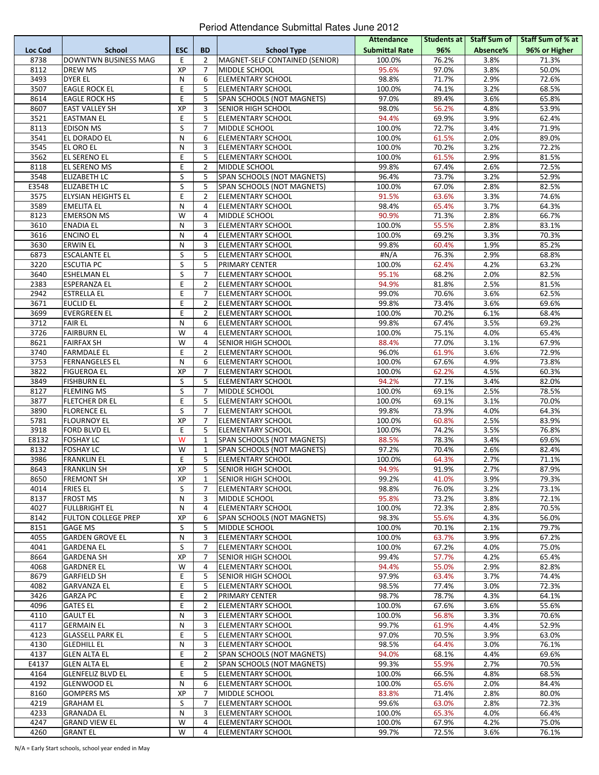|         |                          |                         |                |                                | <b>Attendance</b>     | Students at l |          | Staff Sum of Staff Sum of % at |
|---------|--------------------------|-------------------------|----------------|--------------------------------|-----------------------|---------------|----------|--------------------------------|
| Loc Cod | <b>School</b>            | <b>ESC</b>              | <b>BD</b>      | <b>School Type</b>             | <b>Submittal Rate</b> | 96%           | Absence% | 96% or Higher                  |
| 8738    | DOWNTWN BUSINESS MAG     | E                       | $\overline{2}$ | MAGNET-SELF CONTAINED (SENIOR) | 100.0%                | 76.2%         | 3.8%     | 71.3%                          |
| 8112    | DREW MS                  | XP                      | $\overline{7}$ | MIDDLE SCHOOL                  | 95.6%                 | 97.0%         | 3.8%     | 50.0%                          |
| 3493    | <b>DYER EL</b>           | N                       | 6              | <b>ELEMENTARY SCHOOL</b>       | 98.8%                 | 71.7%         | 2.9%     | 72.6%                          |
| 3507    | <b>EAGLE ROCK EL</b>     | E                       | 5              | <b>ELEMENTARY SCHOOL</b>       | 100.0%                | 74.1%         | 3.2%     | 68.5%                          |
|         |                          | E                       | 5              |                                | 97.0%                 |               | 3.6%     | 65.8%                          |
| 8614    | <b>EAGLE ROCK HS</b>     |                         |                | SPAN SCHOOLS (NOT MAGNETS)     |                       | 89.4%         |          |                                |
| 8607    | <b>EAST VALLEY SH</b>    | XP                      | 3              | <b>SENIOR HIGH SCHOOL</b>      | 98.0%                 | 56.2%         | 4.8%     | 53.9%                          |
| 3521    | <b>EASTMAN EL</b>        | E                       | 5              | <b>ELEMENTARY SCHOOL</b>       | 94.4%                 | 69.9%         | 3.9%     | 62.4%                          |
| 8113    | <b>EDISON MS</b>         | S                       | $\overline{7}$ | MIDDLE SCHOOL                  | 100.0%                | 72.7%         | 3.4%     | 71.9%                          |
| 3541    | EL DORADO EL             | N                       | 6              | <b>ELEMENTARY SCHOOL</b>       | 100.0%                | 61.5%         | 2.0%     | 89.0%                          |
| 3545    | EL ORO EL                | N                       | 3              | ELEMENTARY SCHOOL              | 100.0%                | 70.2%         | 3.2%     | 72.2%                          |
| 3562    | <b>EL SERENO EL</b>      | E                       | 5              | <b>ELEMENTARY SCHOOL</b>       | 100.0%                | 61.5%         | 2.9%     | 81.5%                          |
| 8118    | <b>EL SERENO MS</b>      | E                       | $\overline{2}$ | <b>MIDDLE SCHOOL</b>           | 99.8%                 | 67.4%         | 2.6%     | 72.5%                          |
| 3548    | <b>ELIZABETH LC</b>      | S                       | 5              | SPAN SCHOOLS (NOT MAGNETS)     | 96.4%                 | 73.7%         | 3.2%     | 52.9%                          |
| E3548   | <b>ELIZABETH LC</b>      | S                       | 5              | SPAN SCHOOLS (NOT MAGNETS)     | 100.0%                | 67.0%         | 2.8%     | 82.5%                          |
| 3575    | ELYSIAN HEIGHTS EL       | E                       | $\overline{2}$ | <b>ELEMENTARY SCHOOL</b>       | 91.5%                 | 63.6%         | 3.3%     | 74.6%                          |
| 3589    |                          |                         | 4              |                                |                       |               |          |                                |
|         | <b>EMELITA EL</b>        | N                       |                | <b>ELEMENTARY SCHOOL</b>       | 98.4%                 | 65.4%         | 3.7%     | 64.3%                          |
| 8123    | <b>EMERSON MS</b>        | W                       | 4              | MIDDLE SCHOOL                  | 90.9%                 | 71.3%         | 2.8%     | 66.7%                          |
| 3610    | <b>ENADIA EL</b>         | N                       | 3              | <b>ELEMENTARY SCHOOL</b>       | 100.0%                | 55.5%         | 2.8%     | 83.1%                          |
| 3616    | <b>ENCINO EL</b>         | N                       | 4              | <b>ELEMENTARY SCHOOL</b>       | 100.0%                | 69.2%         | 3.3%     | 70.3%                          |
| 3630    | <b>ERWIN EL</b>          | N                       | 3              | <b>ELEMENTARY SCHOOL</b>       | 99.8%                 | 60.4%         | 1.9%     | 85.2%                          |
| 6873    | <b>ESCALANTE EL</b>      | S                       | 5              | <b>ELEMENTARY SCHOOL</b>       | #N/A                  | 76.3%         | 2.9%     | 68.8%                          |
| 3220    | <b>ESCUTIA PC</b>        | $\overline{\mathsf{S}}$ | 5              | PRIMARY CENTER                 | 100.0%                | 62.4%         | 4.2%     | 63.2%                          |
| 3640    | <b>ESHELMAN EL</b>       | S                       | $\overline{7}$ | <b>ELEMENTARY SCHOOL</b>       | 95.1%                 | 68.2%         | 2.0%     | 82.5%                          |
| 2383    | <b>ESPERANZA EL</b>      | E                       | $\overline{2}$ | <b>ELEMENTARY SCHOOL</b>       | 94.9%                 | 81.8%         | 2.5%     | 81.5%                          |
| 2942    | <b>ESTRELLA EL</b>       | E                       | $\overline{7}$ | <b>ELEMENTARY SCHOOL</b>       | 99.0%                 | 70.6%         | 3.6%     | 62.5%                          |
| 3671    | <b>EUCLID EL</b>         | E                       | $\overline{2}$ | <b>ELEMENTARY SCHOOL</b>       | 99.8%                 | 73.4%         | 3.6%     | 69.6%                          |
|         |                          |                         |                |                                |                       |               |          |                                |
| 3699    | <b>EVERGREEN EL</b>      | E                       | $\overline{2}$ | <b>ELEMENTARY SCHOOL</b>       | 100.0%                | 70.2%         | 6.1%     | 68.4%                          |
| 3712    | <b>FAIR EL</b>           | N                       | 6              | <b>ELEMENTARY SCHOOL</b>       | 99.8%                 | 67.4%         | 3.5%     | 69.2%                          |
| 3726    | <b>FAIRBURN EL</b>       | $\overline{\mathsf{W}}$ | 4              | <b>ELEMENTARY SCHOOL</b>       | 100.0%                | 75.1%         | 4.0%     | 65.4%                          |
| 8621    | <b>FAIRFAX SH</b>        | W                       | 4              | <b>SENIOR HIGH SCHOOL</b>      | 88.4%                 | 77.0%         | 3.1%     | 67.9%                          |
| 3740    | <b>FARMDALE EL</b>       | E                       | $\overline{2}$ | <b>ELEMENTARY SCHOOL</b>       | 96.0%                 | 61.9%         | 3.6%     | 72.9%                          |
| 3753    | <b>FERNANGELES EL</b>    | N                       | 6              | <b>ELEMENTARY SCHOOL</b>       | 100.0%                | 67.6%         | 4.9%     | 73.8%                          |
| 3822    | <b>FIGUEROA EL</b>       | XP                      | $\overline{7}$ | <b>ELEMENTARY SCHOOL</b>       | 100.0%                | 62.2%         | 4.5%     | 60.3%                          |
| 3849    | <b>FISHBURN EL</b>       | S                       | 5              | <b>ELEMENTARY SCHOOL</b>       | 94.2%                 | 77.1%         | 3.4%     | 82.0%                          |
| 8127    | <b>FLEMING MS</b>        | S                       | $\overline{7}$ | MIDDLE SCHOOL                  | 100.0%                | 69.1%         | 2.5%     | 78.5%                          |
| 3877    | FLETCHER DR EL           | E                       | 5              | <b>ELEMENTARY SCHOOL</b>       | 100.0%                | 69.1%         | 3.1%     | 70.0%                          |
| 3890    |                          | S                       | $\overline{7}$ |                                | 99.8%                 |               |          | 64.3%                          |
|         | <b>FLORENCE EL</b>       |                         |                | <b>ELEMENTARY SCHOOL</b>       |                       | 73.9%         | 4.0%     |                                |
| 5781    | <b>FLOURNOY EL</b>       | XP                      | $\overline{7}$ | <b>ELEMENTARY SCHOOL</b>       | 100.0%                | 60.8%         | 2.5%     | 83.9%                          |
| 3918    | <b>FORD BLVD EL</b>      | E                       | 5              | <b>ELEMENTARY SCHOOL</b>       | 100.0%                | 74.2%         | 3.5%     | 76.8%                          |
| E8132   | <b>FOSHAY LC</b>         | W                       | $\mathbf{1}$   | SPAN SCHOOLS (NOT MAGNETS)     | 88.5%                 | 78.3%         | 3.4%     | 69.6%                          |
| 8132    | <b>FOSHAY LC</b>         | W                       | $\mathbf{1}$   | SPAN SCHOOLS (NOT MAGNETS)     | 97.2%                 | 70.4%         | 2.6%     | 82.4%                          |
| 3986    | <b>FRANKLIN EL</b>       | E                       | 5              | <b>ELEMENTARY SCHOOL</b>       | 100.0%                | 64.3%         | 2.7%     | 71.1%                          |
| 8643    | <b>FRANKLIN SH</b>       | XP                      | 5              | <b>SENIOR HIGH SCHOOL</b>      | 94.9%                 | 91.9%         | 2.7%     | 87.9%                          |
| 8650    | <b>FREMONT SH</b>        | ХP                      | 1              | <b>SENIOR HIGH SCHOOL</b>      | 99.2%                 | 41.0%         | 3.9%     | 79.3%                          |
| 4014    | <b>FRIES EL</b>          | S                       | 7              | <b>ELEMENTARY SCHOOL</b>       | 98.8%                 | 76.0%         | 3.2%     | 73.1%                          |
| 8137    | <b>FROST MS</b>          | N                       | 3              | <b>MIDDLE SCHOOL</b>           | 95.8%                 | 73.2%         | 3.8%     | 72.1%                          |
| 4027    | <b>FULLBRIGHT EL</b>     | N                       | $\overline{4}$ | <b>ELEMENTARY SCHOOL</b>       | 100.0%                | 72.3%         | 2.8%     | 70.5%                          |
| 8142    | FULTON COLLEGE PREP      | ХP                      | 6              | SPAN SCHOOLS (NOT MAGNETS)     | 98.3%                 | 55.6%         | 4.3%     | 56.0%                          |
| 8151    |                          | S                       | 5              |                                | 100.0%                |               |          | 79.7%                          |
|         | <b>GAGE MS</b>           |                         |                | MIDDLE SCHOOL                  |                       | 70.1%         | 2.1%     |                                |
| 4055    | <b>GARDEN GROVE EL</b>   | N                       | 3              | <b>ELEMENTARY SCHOOL</b>       | 100.0%                | 63.7%         | 3.9%     | 67.2%                          |
| 4041    | <b>GARDENA EL</b>        | S                       | 7              | <b>ELEMENTARY SCHOOL</b>       | 100.0%                | 67.2%         | 4.0%     | 75.0%                          |
| 8664    | <b>GARDENA SH</b>        | XP                      | 7              | SENIOR HIGH SCHOOL             | 99.4%                 | 57.7%         | 4.2%     | 65.4%                          |
| 4068    | <b>GARDNER EL</b>        | W                       | $\overline{4}$ | <b>ELEMENTARY SCHOOL</b>       | 94.4%                 | 55.0%         | 2.9%     | 82.8%                          |
| 8679    | <b>GARFIELD SH</b>       | E                       | 5              | SENIOR HIGH SCHOOL             | 97.9%                 | 63.4%         | 3.7%     | 74.4%                          |
| 4082    | <b>GARVANZA EL</b>       | E                       | 5              | <b>ELEMENTARY SCHOOL</b>       | 98.5%                 | 77.4%         | 3.0%     | 72.3%                          |
| 3426    | <b>GARZA PC</b>          | E                       | 2              | PRIMARY CENTER                 | 98.7%                 | 78.7%         | 4.3%     | 64.1%                          |
| 4096    | <b>GATES EL</b>          | E                       | 2              | <b>ELEMENTARY SCHOOL</b>       | 100.0%                | 67.6%         | 3.6%     | 55.6%                          |
| 4110    | <b>GAULT EL</b>          | N                       | 3              | <b>ELEMENTARY SCHOOL</b>       | 100.0%                | 56.8%         | 3.3%     | 70.6%                          |
| 4117    | <b>GERMAIN EL</b>        | N                       | 3              | <b>ELEMENTARY SCHOOL</b>       | 99.7%                 | 61.9%         | 4.4%     | 52.9%                          |
|         |                          |                         |                |                                |                       |               |          |                                |
| 4123    | <b>GLASSELL PARK EL</b>  | E                       | 5              | <b>ELEMENTARY SCHOOL</b>       | 97.0%                 | 70.5%         | 3.9%     | 63.0%                          |
| 4130    | <b>GLEDHILL EL</b>       | N                       | 3              | <b>ELEMENTARY SCHOOL</b>       | 98.5%                 | 64.4%         | 3.0%     | 76.1%                          |
| 4137    | <b>GLEN ALTA EL</b>      | E                       | 2              | SPAN SCHOOLS (NOT MAGNETS)     | 94.0%                 | 68.1%         | 4.4%     | 69.6%                          |
| E4137   | <b>GLEN ALTA EL</b>      | E                       | 2              | SPAN SCHOOLS (NOT MAGNETS)     | 99.3%                 | 55.9%         | 2.7%     | 70.5%                          |
| 4164    | <b>GLENFELIZ BLVD EL</b> | E                       | 5              | <b>ELEMENTARY SCHOOL</b>       | 100.0%                | 66.5%         | 4.8%     | 68.5%                          |
| 4192    | <b>GLENWOOD EL</b>       | N                       | 6              | <b>ELEMENTARY SCHOOL</b>       | 100.0%                | 65.6%         | 2.0%     | 84.4%                          |
| 8160    | <b>GOMPERS MS</b>        | XP                      | $\overline{7}$ | MIDDLE SCHOOL                  | 83.8%                 | 71.4%         | 2.8%     | 80.0%                          |
| 4219    | <b>GRAHAM EL</b>         | S                       | $\overline{7}$ | <b>ELEMENTARY SCHOOL</b>       | 99.6%                 | 63.0%         | 2.8%     | 72.3%                          |
| 4233    | <b>GRANADA EL</b>        | N                       | 3              | <b>ELEMENTARY SCHOOL</b>       | 100.0%                | 65.3%         | 4.0%     | 66.4%                          |
| 4247    | <b>GRAND VIEW EL</b>     | W                       | 4              | <b>ELEMENTARY SCHOOL</b>       | 100.0%                | 67.9%         | 4.2%     | 75.0%                          |
|         |                          |                         |                |                                |                       |               |          |                                |
| 4260    | <b>GRANT EL</b>          | W                       | $\overline{4}$ | <b>ELEMENTARY SCHOOL</b>       | 99.7%                 | 72.5%         | 3.6%     | 76.1%                          |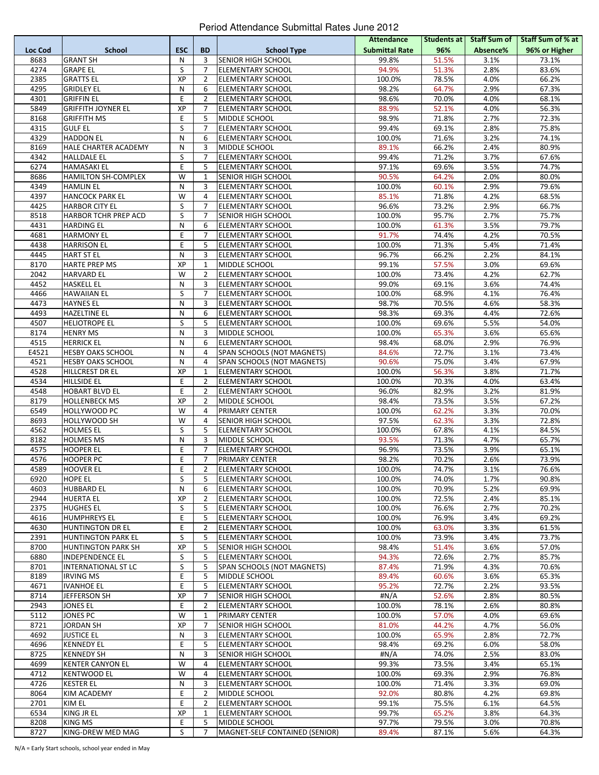|         |                             |            |                |                                | <b>Attendance</b>     | Students at |          | Staff Sum of Staff Sum of % at |
|---------|-----------------------------|------------|----------------|--------------------------------|-----------------------|-------------|----------|--------------------------------|
| Loc Cod | <b>School</b>               | <b>ESC</b> | BD             | <b>School Type</b>             | <b>Submittal Rate</b> | 96%         | Absence% | 96% or Higher                  |
| 8683    | <b>GRANT SH</b>             | N          | 3              | <b>SENIOR HIGH SCHOOL</b>      | 99.8%                 | 51.5%       | 3.1%     | 73.1%                          |
| 4274    | <b>GRAPE EL</b>             | S          | 7              | <b>ELEMENTARY SCHOOL</b>       | 94.9%                 | 51.3%       | 2.8%     | 83.6%                          |
| 2385    | <b>GRATTS EL</b>            | ΧP         | $\overline{2}$ | <b>ELEMENTARY SCHOOL</b>       | 100.0%                | 78.5%       | 4.0%     | 66.2%                          |
| 4295    | <b>GRIDLEY EL</b>           | N          | 6              | <b>ELEMENTARY SCHOOL</b>       | 98.2%                 | 64.7%       | 2.9%     | 67.3%                          |
|         |                             | E          | $\overline{2}$ |                                |                       |             |          |                                |
| 4301    | <b>GRIFFIN EL</b>           |            |                | ELEMENTARY SCHOOL              | 98.6%                 | 70.0%       | 4.0%     | 68.1%                          |
| 5849    | <b>GRIFFITH JOYNER EL</b>   | XP         | 7              | <b>ELEMENTARY SCHOOL</b>       | 88.9%                 | 52.1%       | 4.0%     | 56.3%                          |
| 8168    | <b>GRIFFITH MS</b>          | E          | 5              | MIDDLE SCHOOL                  | 98.9%                 | 71.8%       | 2.7%     | 72.3%                          |
| 4315    | <b>GULF EL</b>              | S          | $\overline{7}$ | <b>ELEMENTARY SCHOOL</b>       | 99.4%                 | 69.1%       | 2.8%     | 75.8%                          |
| 4329    | <b>HADDON EL</b>            | N          | 6              | <b>ELEMENTARY SCHOOL</b>       | 100.0%                | 71.6%       | 3.2%     | 74.1%                          |
| 8169    | HALE CHARTER ACADEMY        | N          | 3              | <b>MIDDLE SCHOOL</b>           | 89.1%                 | 66.2%       | 2.4%     | 80.9%                          |
| 4342    | <b>HALLDALE EL</b>          | S          | $\overline{7}$ | <b>ELEMENTARY SCHOOL</b>       | 99.4%                 | 71.2%       | 3.7%     | 67.6%                          |
| 6274    | <b>HAMASAKI EL</b>          | E          | 5              | <b>ELEMENTARY SCHOOL</b>       | 97.1%                 | 69.6%       | 3.5%     | 74.7%                          |
| 8686    | <b>HAMILTON SH-COMPLEX</b>  | W          | $\mathbf{1}$   | SENIOR HIGH SCHOOL             | 90.5%                 | 64.2%       | 2.0%     | 80.0%                          |
| 4349    | <b>HAMLIN EL</b>            | N          | 3              | <b>ELEMENTARY SCHOOL</b>       | 100.0%                | 60.1%       | 2.9%     | 79.6%                          |
| 4397    | <b>HANCOCK PARK EL</b>      | W          | 4              | <b>ELEMENTARY SCHOOL</b>       | 85.1%                 | 71.8%       | 4.2%     | 68.5%                          |
|         |                             |            |                |                                |                       |             |          |                                |
| 4425    | <b>HARBOR CITY EL</b>       | S          | $\overline{7}$ | ELEMENTARY SCHOOL              | 96.6%                 | 73.2%       | 2.9%     | 66.7%                          |
| 8518    | <b>HARBOR TCHR PREP ACD</b> | S          | $\overline{7}$ | SENIOR HIGH SCHOOL             | 100.0%                | 95.7%       | 2.7%     | 75.7%                          |
| 4431    | <b>HARDING EL</b>           | N          | 6              | ELEMENTARY SCHOOL              | 100.0%                | 61.3%       | 3.5%     | 79.7%                          |
| 4681    | <b>HARMONY EL</b>           | E          | $\overline{7}$ | ELEMENTARY SCHOOL              | 91.7%                 | 74.4%       | 4.2%     | 70.5%                          |
| 4438    | <b>HARRISON EL</b>          | E          | 5              | <b>ELEMENTARY SCHOOL</b>       | 100.0%                | 71.3%       | 5.4%     | 71.4%                          |
| 4445    | <b>HART ST EL</b>           | N          | 3              | ELEMENTARY SCHOOL              | 96.7%                 | 66.2%       | 2.2%     | 84.1%                          |
| 8170    | <b>HARTE PREP MS</b>        | XP         | $\mathbf{1}$   | MIDDLE SCHOOL                  | 99.1%                 | 57.5%       | 3.0%     | 69.6%                          |
| 2042    | <b>HARVARD EL</b>           | W          | $\overline{2}$ | ELEMENTARY SCHOOL              | 100.0%                | 73.4%       | 4.2%     | 62.7%                          |
| 4452    | <b>HASKELL EL</b>           | N          | 3              | ELEMENTARY SCHOOL              | 99.0%                 | 69.1%       | 3.6%     | 74.4%                          |
| 4466    | <b>HAWAIIAN EL</b>          | S          | $\overline{7}$ | <b>ELEMENTARY SCHOOL</b>       | 100.0%                | 68.9%       | 4.1%     | 76.4%                          |
| 4473    |                             |            |                |                                |                       |             |          |                                |
|         | <b>HAYNES EL</b>            | N          | 3              | ELEMENTARY SCHOOL              | 98.7%                 | 70.5%       | 4.6%     | 58.3%                          |
| 4493    | <b>HAZELTINE EL</b>         | N          | 6              | <b>ELEMENTARY SCHOOL</b>       | 98.3%                 | 69.3%       | 4.4%     | 72.6%                          |
| 4507    | <b>HELIOTROPE EL</b>        | S          | 5              | <b>ELEMENTARY SCHOOL</b>       | 100.0%                | 69.6%       | 5.5%     | 54.0%                          |
| 8174    | <b>HENRY MS</b>             | N          | 3              | MIDDLE SCHOOL                  | 100.0%                | 65.3%       | 3.6%     | 65.6%                          |
| 4515    | <b>HERRICK EL</b>           | N          | 6              | ELEMENTARY SCHOOL              | 98.4%                 | 68.0%       | 2.9%     | 76.9%                          |
| E4521   | <b>HESBY OAKS SCHOOL</b>    | N          | 4              | SPAN SCHOOLS (NOT MAGNETS)     | 84.6%                 | 72.7%       | 3.1%     | 73.4%                          |
| 4521    | <b>HESBY OAKS SCHOOL</b>    | N          | 4              | SPAN SCHOOLS (NOT MAGNETS)     | 90.6%                 | 75.0%       | 3.4%     | 67.9%                          |
| 4528    | <b>HILLCREST DR EL</b>      | XP         | $\mathbf{1}$   | <b>ELEMENTARY SCHOOL</b>       | 100.0%                | 56.3%       | 3.8%     | 71.7%                          |
| 4534    | <b>HILLSIDE EL</b>          | E          | $\overline{2}$ | <b>ELEMENTARY SCHOOL</b>       | 100.0%                | 70.3%       | 4.0%     | 63.4%                          |
| 4548    | <b>HOBART BLVD EL</b>       | E          | $\overline{2}$ | ELEMENTARY SCHOOL              | 96.0%                 | 82.9%       | 3.2%     | 81.9%                          |
| 8179    | <b>HOLLENBECK MS</b>        | XP         | $\overline{2}$ | MIDDLE SCHOOL                  | 98.4%                 | 73.5%       | 3.5%     | 67.2%                          |
|         |                             |            |                |                                |                       |             |          |                                |
| 6549    | HOLLYWOOD PC                | W          | 4              | PRIMARY CENTER                 | 100.0%                | 62.2%       | 3.3%     | 70.0%                          |
| 8693    | HOLLYWOOD SH                | W          | 4              | SENIOR HIGH SCHOOL             | 97.5%                 | 62.3%       | 3.3%     | 72.8%                          |
| 4562    | <b>HOLMES EL</b>            | S          | 5              | <b>ELEMENTARY SCHOOL</b>       | 100.0%                | 67.8%       | 4.1%     | 84.5%                          |
| 8182    | <b>HOLMES MS</b>            | N          | 3              | MIDDLE SCHOOL                  | 93.5%                 | 71.3%       | 4.7%     | 65.7%                          |
| 4575    | <b>HOOPER EL</b>            | E          | $\overline{7}$ | ELEMENTARY SCHOOL              | 96.9%                 | 73.5%       | 3.9%     | 65.1%                          |
| 4576    | <b>HOOPER PC</b>            | E          | 7              | PRIMARY CENTER                 | 98.2%                 | 70.2%       | 2.6%     | 73.9%                          |
| 4589    | <b>HOOVER EL</b>            | E          | $\overline{2}$ | <b>ELEMENTARY SCHOOL</b>       | 100.0%                | 74.7%       | 3.1%     | 76.6%                          |
| 6920    | <b>HOPE EL</b>              | S          | 5              | ELEMENTARY SCHOOL              | 100.0%                | 74.0%       | 1.7%     | 90.8%                          |
| 4603    | <b>HUBBARD EL</b>           | N          | 6              | <b>ELEMENTARY SCHOOL</b>       | 100.0%                | 70.9%       | 5.2%     | 69.9%                          |
| 2944    | <b>HUERTA EL</b>            | XP         | $\overline{2}$ | <b>ELEMENTARY SCHOOL</b>       | 100.0%                | 72.5%       | 2.4%     | 85.1%                          |
| 2375    | <b>HUGHES EL</b>            | S          | 5              | <b>ELEMENTARY SCHOOL</b>       | 100.0%                | 76.6%       | 2.7%     | 70.2%                          |
|         |                             | E          |                | <b>ELEMENTARY SCHOOL</b>       |                       |             |          |                                |
| 4616    | <b>HUMPHREYS EL</b>         |            | 5              |                                | 100.0%                | 76.9%       | 3.4%     | 69.2%                          |
| 4630    | <b>HUNTINGTON DR EL</b>     | E          | $\overline{2}$ | <b>ELEMENTARY SCHOOL</b>       | 100.0%                | 63.0%       | 3.3%     | 61.5%                          |
| 2391    | <b>HUNTINGTON PARK EL</b>   | S          | 5              | <b>ELEMENTARY SCHOOL</b>       | 100.0%                | 73.9%       | 3.4%     | 73.7%                          |
| 8700    | <b>HUNTINGTON PARK SH</b>   | XP         | 5              | SENIOR HIGH SCHOOL             | 98.4%                 | 51.4%       | 3.6%     | 57.0%                          |
| 6880    | <b>INDEPENDENCE EL</b>      | S          | 5              | ELEMENTARY SCHOOL              | 94.3%                 | 72.6%       | 2.7%     | 85.7%                          |
| 8701    | <b>INTERNATIONAL ST LC</b>  | S          | 5              | SPAN SCHOOLS (NOT MAGNETS)     | 87.4%                 | 71.9%       | 4.3%     | 70.6%                          |
| 8189    | <b>IRVING MS</b>            | E          | 5              | MIDDLE SCHOOL                  | 89.4%                 | 60.6%       | 3.6%     | 65.3%                          |
| 4671    | <b>IVANHOE EL</b>           | E          | 5              | <b>ELEMENTARY SCHOOL</b>       | 95.2%                 | 72.7%       | 2.2%     | 93.5%                          |
| 8714    | JEFFERSON SH                | ХP         | 7              | SENIOR HIGH SCHOOL             | #N/A                  | 52.6%       | 2.8%     | 80.5%                          |
| 2943    | JONES EL                    | E          | $\overline{2}$ | ELEMENTARY SCHOOL              | 100.0%                | 78.1%       | 2.6%     | 80.8%                          |
| 5112    | <b>JONES PC</b>             | W          | 1              | PRIMARY CENTER                 | 100.0%                | 57.0%       | 4.0%     | 69.6%                          |
| 8721    | <b>JORDAN SH</b>            | ХP         | $\overline{7}$ | SENIOR HIGH SCHOOL             | 81.0%                 |             |          | 56.0%                          |
|         |                             |            |                |                                |                       | 44.2%       | 4.7%     |                                |
| 4692    | <b>JUSTICE EL</b>           | N          | 3              | ELEMENTARY SCHOOL              | 100.0%                | 65.9%       | 2.8%     | 72.7%                          |
| 4696    | <b>KENNEDY EL</b>           | E          | 5              | <b>ELEMENTARY SCHOOL</b>       | 98.4%                 | 69.2%       | 6.0%     | 58.0%                          |
| 8725    | <b>KENNEDY SH</b>           | N          | 3              | SENIOR HIGH SCHOOL             | #N/A                  | 74.0%       | 2.5%     | 83.0%                          |
| 4699    | <b>KENTER CANYON EL</b>     | W          | 4              | ELEMENTARY SCHOOL              | 99.3%                 | 73.5%       | 3.4%     | 65.1%                          |
| 4712    | <b>KENTWOOD EL</b>          | W          | 4              | ELEMENTARY SCHOOL              | 100.0%                | 69.3%       | 2.9%     | 76.8%                          |
| 4726    | <b>KESTER EL</b>            | Ν          | 3              | <b>ELEMENTARY SCHOOL</b>       | 100.0%                | 71.4%       | 3.3%     | 69.0%                          |
| 8064    | KIM ACADEMY                 | E          | $\overline{2}$ | MIDDLE SCHOOL                  | 92.0%                 | 80.8%       | 4.2%     | 69.8%                          |
| 2701    | KIM EL                      | E          | $\overline{2}$ | <b>ELEMENTARY SCHOOL</b>       | 99.1%                 | 75.5%       | 6.1%     | 64.5%                          |
| 6534    | KING JR EL                  | ХP         | 1              | <b>ELEMENTARY SCHOOL</b>       | 99.7%                 | 65.2%       | 3.8%     | 64.3%                          |
| 8208    | KING MS                     | E          | 5              | MIDDLE SCHOOL                  | 97.7%                 | 79.5%       | 3.0%     | 70.8%                          |
|         |                             |            |                |                                |                       |             |          |                                |
| 8727    | KING-DREW MED MAG           | S          | $\overline{7}$ | MAGNET-SELF CONTAINED (SENIOR) | 89.4%                 | 87.1%       | 5.6%     | 64.3%                          |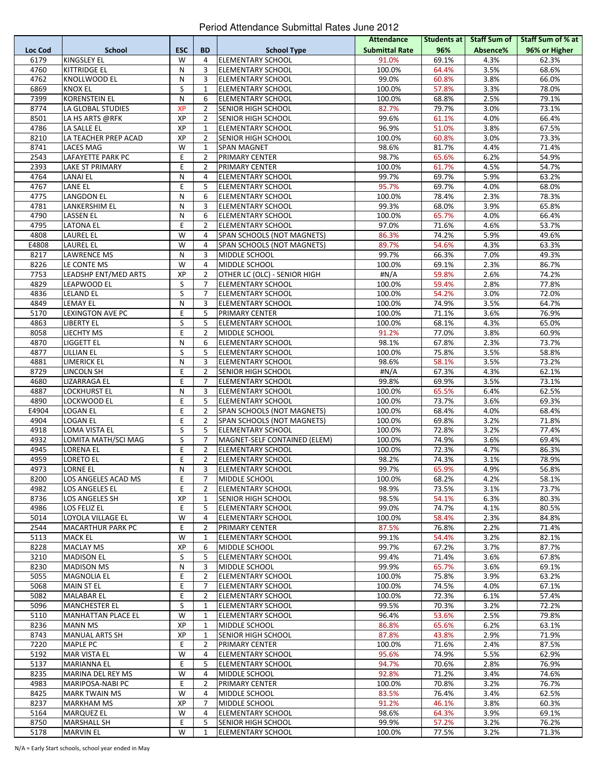|         |                          |            |                |                              | <b>Attendance</b>     | Students at         |          | Staff Sum of Staff Sum of % at |
|---------|--------------------------|------------|----------------|------------------------------|-----------------------|---------------------|----------|--------------------------------|
| Loc Cod | School                   | <b>ESC</b> | <b>BD</b>      | <b>School Type</b>           | <b>Submittal Rate</b> | 96%                 | Absence% | 96% or Higher                  |
| 6179    | <b>KINGSLEY EL</b>       | W          | $\overline{4}$ | <b>ELEMENTARY SCHOOL</b>     | 91.0%                 | 69.1%               | 4.3%     | 62.3%                          |
| 4760    | <b>KITTRIDGE EL</b>      | N          | 3              | <b>ELEMENTARY SCHOOL</b>     | 100.0%                | 64.4%               | 3.5%     | 68.6%                          |
| 4762    | KNOLLWOOD EL             | N          | 3              | <b>ELEMENTARY SCHOOL</b>     | 99.0%                 | 60.8%               | 3.8%     | 66.0%                          |
| 6869    | <b>KNOX EL</b>           | S          | $\mathbf{1}$   | <b>ELEMENTARY SCHOOL</b>     | 100.0%                | 57.8%               | 3.3%     | 78.0%                          |
|         |                          |            |                |                              |                       |                     |          |                                |
| 7399    | <b>KORENSTEIN EL</b>     | ${\sf N}$  | 6              | <b>ELEMENTARY SCHOOL</b>     | 100.0%                | 68.8%               | 2.5%     | 79.1%                          |
| 8774    | LA GLOBAL STUDIES        | XP         | $\overline{2}$ | SENIOR HIGH SCHOOL           | 82.7%                 | 79.7%               | 3.0%     | 73.1%                          |
| 8501    | LA HS ARTS @RFK          | XP         | $\overline{2}$ | SENIOR HIGH SCHOOL           | 99.6%                 | 61.1%               | 4.0%     | 66.4%                          |
| 4786    | LA SALLE EL              | XP         | $\mathbf{1}$   | <b>ELEMENTARY SCHOOL</b>     | 96.9%                 | 51.0%               | 3.8%     | 67.5%                          |
| 8210    | LA TEACHER PREP ACAD     | XP         | $\overline{2}$ | <b>SENIOR HIGH SCHOOL</b>    | 100.0%                | 60.8%               | 3.0%     | 73.3%                          |
| 8741    | LACES MAG                | W          | $\mathbf{1}$   | <b>SPAN MAGNET</b>           | 98.6%                 | 81.7%               | 4.4%     | 71.4%                          |
| 2543    | LAFAYETTE PARK PC        | E          | $\overline{2}$ | PRIMARY CENTER               | 98.7%                 | 65.6%               | 6.2%     | 54.9%                          |
| 2393    | LAKE ST PRIMARY          | E          | $\overline{2}$ | PRIMARY CENTER               | 100.0%                | 61.7%               | 4.5%     | 54.7%                          |
| 4764    | LANAI EL                 | N          | $\overline{4}$ | ELEMENTARY SCHOOL            | 99.7%                 | 69.7%               | 5.9%     | 63.2%                          |
| 4767    | LANE EL                  | E          | 5              | <b>ELEMENTARY SCHOOL</b>     | 95.7%                 | 69.7%               | 4.0%     | 68.0%                          |
| 4775    | <b>LANGDON EL</b>        | N          | 6              | <b>ELEMENTARY SCHOOL</b>     | 100.0%                | 78.4%               | 2.3%     | 78.3%                          |
|         |                          |            |                |                              |                       |                     |          |                                |
| 4781    | LANKERSHIM EL            | N          | 3              | ELEMENTARY SCHOOL            | 99.3%                 | 68.0%               | 3.9%     | 65.8%                          |
| 4790    | <b>LASSEN EL</b>         | ${\sf N}$  | 6              | ELEMENTARY SCHOOL            | 100.0%                | 65.7%               | 4.0%     | 66.4%                          |
| 4795    | <b>LATONA EL</b>         | E          | $\overline{2}$ | <b>ELEMENTARY SCHOOL</b>     | 97.0%                 | 71.6%               | 4.6%     | 53.7%                          |
| 4808    | <b>LAUREL EL</b>         | W          | 4              | SPAN SCHOOLS (NOT MAGNETS)   | 86.3%                 | 74.2%               | 5.9%     | 49.6%                          |
| E4808   | <b>LAUREL EL</b>         | W          | 4              | SPAN SCHOOLS (NOT MAGNETS)   | 89.7%                 | 54.6%               | 4.3%     | 63.3%                          |
| 8217    | <b>LAWRENCE MS</b>       | N          | 3              | MIDDLE SCHOOL                | 99.7%                 | 66.3%               | 7.0%     | 49.3%                          |
| 8226    | LE CONTE MS              | W          | 4              | MIDDLE SCHOOL                | 100.0%                | 69.1%               | 2.3%     | 86.7%                          |
| 7753    | LEADSHP ENT/MED ARTS     | XP         | $\overline{2}$ | OTHER LC (OLC) - SENIOR HIGH | #N/A                  | 59.8%               | 2.6%     | 74.2%                          |
| 4829    | LEAPWOOD EL              | S          | 7              | <b>ELEMENTARY SCHOOL</b>     | 100.0%                | 59.4%               | 2.8%     | 77.8%                          |
| 4836    | <b>LELAND EL</b>         | S          | $\overline{7}$ | <b>ELEMENTARY SCHOOL</b>     | 100.0%                | 54.2%               | 3.0%     | 72.0%                          |
| 4849    | <b>LEMAY EL</b>          | ${\sf N}$  | 3              | <b>ELEMENTARY SCHOOL</b>     | 100.0%                | 74.9%               | 3.5%     | 64.7%                          |
|         |                          |            |                |                              |                       |                     |          |                                |
| 5170    | <b>LEXINGTON AVE PC</b>  | E          | 5              | PRIMARY CENTER               | 100.0%                | 71.1%               | 3.6%     | 76.9%                          |
| 4863    | <b>LIBERTY EL</b>        | S          | 5              | <b>ELEMENTARY SCHOOL</b>     | 100.0%                | 68.1%               | 4.3%     | 65.0%                          |
| 8058    | LIECHTY MS               | E          | $\overline{2}$ | MIDDLE SCHOOL                | 91.2%                 | 77.0%               | 3.8%     | 60.9%                          |
| 4870    | liggett el               | ${\sf N}$  | 6              | <b>ELEMENTARY SCHOOL</b>     | 98.1%                 | 67.8%               | 2.3%     | 73.7%                          |
| 4877    | <b>LILLIAN EL</b>        | S          | 5              | <b>ELEMENTARY SCHOOL</b>     | 100.0%                | 75.8%               | 3.5%     | 58.8%                          |
| 4881    | <b>LIMERICK EL</b>       | N          | 3              | ELEMENTARY SCHOOL            | 98.6%                 | 58.1%               | 3.5%     | 73.2%                          |
| 8729    | LINCOLN SH               | E          | $\overline{2}$ | SENIOR HIGH SCHOOL           | #N/A                  | 67.3%               | 4.3%     | 62.1%                          |
| 4680    | LIZARRAGA EL             | E          | $\overline{7}$ | <b>ELEMENTARY SCHOOL</b>     | 99.8%                 | 69.9%               | 3.5%     | 73.1%                          |
| 4887    | LOCKHURST EL             | N          | 3              | ELEMENTARY SCHOOL            | 100.0%                | 65.5%               | 6.4%     | 62.5%                          |
| 4890    | LOCKWOOD EL              | E          | 5              | <b>ELEMENTARY SCHOOL</b>     | 100.0%                | 73.7%               | 3.6%     | 69.3%                          |
|         |                          | E          |                |                              |                       |                     |          |                                |
| E4904   | LOGAN EL                 |            | $\overline{2}$ | SPAN SCHOOLS (NOT MAGNETS)   | 100.0%                | 68.4%               | 4.0%     | 68.4%                          |
| 4904    | <b>LOGAN EL</b>          | E          | $\overline{2}$ | SPAN SCHOOLS (NOT MAGNETS)   | 100.0%                | 69.8%               | 3.2%     | 71.8%                          |
| 4918    | LOMA VISTA EL            | S          | 5              | <b>ELEMENTARY SCHOOL</b>     | 100.0%                | 72.8%               | 3.2%     | 77.4%                          |
| 4932    | LOMITA MATH/SCI MAG      | S          | $\overline{7}$ | MAGNET-SELF CONTAINED (ELEM) | 100.0%                | 74.9%               | 3.6%     | 69.4%                          |
| 4945    | <b>LORENA EL</b>         | E          | $\overline{2}$ | ELEMENTARY SCHOOL            | 100.0%                | 72.3%               | 4.7%     | 86.3%                          |
| 4959    | LORETO EL                | E          | $\overline{2}$ | <b>ELEMENTARY SCHOOL</b>     | 98.2%                 | 74.3%               | 3.1%     | 78.9%                          |
| 4973    | LORNE EL                 | N          | 3              | <b>ELEMENTARY SCHOOL</b>     | 99.7%                 | 65.9%               | 4.9%     | 56.8%                          |
| 8200    | LOS ANGELES ACAD MS      | E.         | 7              | MIDDLE SCHOOL                | 100.0%                | 68.2%               | 4.2%     | 58.1%                          |
| 4982    | <b>LOS ANGELES EL</b>    | E          | $\overline{2}$ | <b>ELEMENTARY SCHOOL</b>     | 98.9%                 | 73.5%               | 3.1%     | 73.7%                          |
| 8736    | LOS ANGELES SH           | ХP         | 1              | SENIOR HIGH SCHOOL           | 98.5%                 | 54.1%               | 6.3%     | 80.3%                          |
| 4986    | LOS FELIZ EL             | E          | 5              | <b>ELEMENTARY SCHOOL</b>     | 99.0%                 | $\overline{74.7\%}$ | 4.1%     | 80.5%                          |
| 5014    | LOYOLA VILLAGE EL        | W          | 4              |                              | 100.0%                | 58.4%               | 2.3%     | 84.8%                          |
| 2544    |                          | E          | $\overline{2}$ | ELEMENTARY SCHOOL            | 87.5%                 |                     |          |                                |
|         | <b>MACARTHUR PARK PC</b> |            |                | PRIMARY CENTER               |                       | 76.8%               | 2.2%     | 71.4%                          |
| 5113    | <b>MACK EL</b>           | W          | $\mathbf{1}$   | <b>ELEMENTARY SCHOOL</b>     | 99.1%                 | 54.4%               | 3.2%     | 82.1%                          |
| 8228    | <b>MACLAY MS</b>         | XP         | 6              | MIDDLE SCHOOL                | 99.7%                 | 67.2%               | 3.7%     | 87.7%                          |
| 3210    | <b>MADISON EL</b>        | S          | 5              | <b>ELEMENTARY SCHOOL</b>     | 99.4%                 | 71.4%               | 3.6%     | 67.8%                          |
| 8230    | <b>MADISON MS</b>        | N          | 3              | MIDDLE SCHOOL                | 99.9%                 | 65.7%               | 3.6%     | 69.1%                          |
| 5055    | <b>MAGNOLIA EL</b>       | E          | 2              | <b>ELEMENTARY SCHOOL</b>     | 100.0%                | 75.8%               | 3.9%     | 63.2%                          |
| 5068    | <b>MAIN ST EL</b>        | E          | $\overline{7}$ | ELEMENTARY SCHOOL            | 100.0%                | 74.5%               | 4.0%     | 67.1%                          |
| 5082    | <b>MALABAR EL</b>        | E          | $\overline{2}$ | <b>ELEMENTARY SCHOOL</b>     | 100.0%                | 72.3%               | 6.1%     | 57.4%                          |
| 5096    | <b>MANCHESTER EL</b>     | S          | 1              | ELEMENTARY SCHOOL            | 99.5%                 | 70.3%               | 3.2%     | 72.2%                          |
| 5110    | MANHATTAN PLACE EL       | W          | 1              | <b>ELEMENTARY SCHOOL</b>     | 96.4%                 | 53.6%               | 2.5%     | 79.8%                          |
| 8236    | <b>MANN MS</b>           | ХP         | $\mathbf{1}$   | MIDDLE SCHOOL                |                       |                     |          |                                |
|         |                          |            |                |                              | 86.8%                 | 65.6%               | 6.2%     | 63.1%                          |
| 8743    | <b>MANUAL ARTS SH</b>    | ХP         | 1              | SENIOR HIGH SCHOOL           | 87.8%                 | 43.8%               | 2.9%     | 71.9%                          |
| 7220    | MAPLE PC                 | E          | $\overline{2}$ | PRIMARY CENTER               | 100.0%                | 71.6%               | 2.4%     | 87.5%                          |
| 5192    | MAR VISTA EL             | W          | 4              | <b>ELEMENTARY SCHOOL</b>     | 95.6%                 | 74.9%               | 5.5%     | 62.9%                          |
| 5137    | MARIANNA EL              | E          | 5              | ELEMENTARY SCHOOL            | 94.7%                 | 70.6%               | 2.8%     | 76.9%                          |
| 8235    | MARINA DEL REY MS        | W          | 4              | MIDDLE SCHOOL                | 92.8%                 | 71.2%               | 3.4%     | 74.6%                          |
| 4983    | MARIPOSA-NABI PC         | E          | $\overline{2}$ | PRIMARY CENTER               | 100.0%                | 70.8%               | 3.2%     | 76.7%                          |
| 8425    | <b>MARK TWAIN MS</b>     | W          | 4              | MIDDLE SCHOOL                | 83.5%                 | 76.4%               | 3.4%     | 62.5%                          |
| 8237    | <b>MARKHAM MS</b>        | ХP         | $\overline{7}$ | MIDDLE SCHOOL                | 91.2%                 | 46.1%               | 3.8%     | 60.3%                          |
| 5164    | MARQUEZ EL               | W          | 4              | <b>ELEMENTARY SCHOOL</b>     | 98.6%                 | 64.3%               | 3.9%     | 69.1%                          |
| 8750    | MARSHALL SH              | E          | 5              | SENIOR HIGH SCHOOL           | 99.9%                 | 57.2%               | 3.2%     | 76.2%                          |
| 5178    |                          | W          | $\mathbf{1}$   | <b>ELEMENTARY SCHOOL</b>     | 100.0%                |                     |          | 71.3%                          |
|         | <b>MARVIN EL</b>         |            |                |                              |                       | 77.5%               | 3.2%     |                                |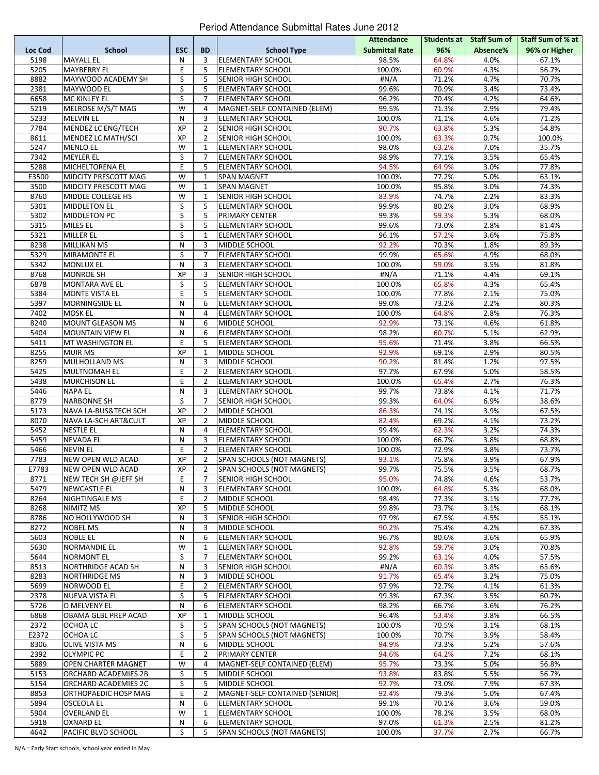|         |                          |            |                |                                | <b>Attendance</b>     |       |          | Students at   Staff Sum of   Staff Sum of % at |
|---------|--------------------------|------------|----------------|--------------------------------|-----------------------|-------|----------|------------------------------------------------|
| Loc Cod | <b>School</b>            | <b>ESC</b> | <b>BD</b>      | <b>School Type</b>             | <b>Submittal Rate</b> | 96%   | Absence% | 96% or Higher                                  |
| 5198    | <b>MAYALL EL</b>         | N          | 3              | <b>ELEMENTARY SCHOOL</b>       | 98.5%                 | 64.8% | 4.0%     | 67.1%                                          |
| 5205    | <b>MAYBERRY EL</b>       | E          | 5              | <b>ELEMENTARY SCHOOL</b>       | 100.0%                | 60.9% | 4.3%     | 56.7%                                          |
| 8882    | MAYWOOD ACADEMY SH       | S          | 5              | SENIOR HIGH SCHOOL             | #N/A                  | 71.2% | 4.7%     | 70.7%                                          |
|         |                          |            |                |                                |                       |       |          |                                                |
| 2381    | <b>MAYWOOD EL</b>        | S          | 5              | <b>ELEMENTARY SCHOOL</b>       | 99.6%                 | 70.9% | 3.4%     | 73.4%                                          |
| 6658    | MC KINLEY EL             | S          | $\overline{7}$ | <b>ELEMENTARY SCHOOL</b>       | 96.2%                 | 70.4% | 4.2%     | 64.6%                                          |
| 5219    | MELROSE M/S/T MAG        | W          | 4              | MAGNET-SELF CONTAINED (ELEM)   | 99.5%                 | 71.3% | 2.9%     | 79.4%                                          |
| 5233    | <b>MELVIN EL</b>         | N          | 3              | ELEMENTARY SCHOOL              | 100.0%                | 71.1% | 4.6%     | 71.2%                                          |
| 7784    | MENDEZ LC ENG/TECH       | XP         | $\overline{2}$ | SENIOR HIGH SCHOOL             | 90.7%                 | 63.8% | 5.3%     | 54.8%                                          |
| 8611    | MENDEZ LC MATH/SCI       | XP         | 2              | SENIOR HIGH SCHOOL             | 100.0%                | 63.3% | 0.7%     | 100.0%                                         |
| 5247    | <b>MENLO EL</b>          | W          | $\mathbf{1}$   | <b>ELEMENTARY SCHOOL</b>       | 98.0%                 | 63.2% | 7.0%     | 35.7%                                          |
| 7342    | <b>MEYLER EL</b>         | S          | $\overline{7}$ | <b>ELEMENTARY SCHOOL</b>       | 98.9%                 | 77.1% | 3.5%     | 65.4%                                          |
|         |                          |            |                |                                |                       |       |          |                                                |
| 5288    | MICHELTORENA EL          | E          | 5              | <b>ELEMENTARY SCHOOL</b>       | 94.5%                 | 64.9% | 3.0%     | 77.8%                                          |
| E3500   | MIDCITY PRESCOTT MAG     | W          | $\mathbf{1}$   | SPAN MAGNET                    | 100.0%                | 77.2% | 5.0%     | 63.1%                                          |
| 3500    | MIDCITY PRESCOTT MAG     | W          | $\mathbf{1}$   | <b>SPAN MAGNET</b>             | 100.0%                | 95.8% | 3.0%     | 74.3%                                          |
| 8760    | MIDDLE COLLEGE HS        | W          | $\mathbf{1}$   | SENIOR HIGH SCHOOL             | 83.9%                 | 74.7% | 2.2%     | 83.3%                                          |
| 5301    | <b>MIDDLETON EL</b>      | S          | 5              | ELEMENTARY SCHOOL              | 99.9%                 | 80.2% | 3.0%     | 68.9%                                          |
| 5302    | MIDDLETON PC             | S          | 5              | PRIMARY CENTER                 | 99.3%                 | 59.3% | 5.3%     | 68.0%                                          |
| 5315    | <b>MILES EL</b>          | S          | 5              | ELEMENTARY SCHOOL              | 99.6%                 | 73.0% | 2.8%     | 81.4%                                          |
|         |                          |            |                |                                |                       |       |          |                                                |
| 5321    | MILLER EL                | S          | $\mathbf{1}$   | ELEMENTARY SCHOOL              | 96.1%                 | 57.2% | 3.6%     | 75.8%                                          |
| 8238    | <b>MILLIKAN MS</b>       | N          | 3              | MIDDLE SCHOOL                  | 92.2%                 | 70.3% | 1.8%     | 89.3%                                          |
| 5329    | <b>MIRAMONTE EL</b>      | S          | 7              | <b>ELEMENTARY SCHOOL</b>       | 99.9%                 | 65.6% | 4.9%     | 68.0%                                          |
| 5342    | <b>MONLUX EL</b>         | N          | 3              | <b>ELEMENTARY SCHOOL</b>       | 100.0%                | 59.0% | 3.5%     | 81.8%                                          |
| 8768    | <b>MONROE SH</b>         | XP         | 3              | SENIOR HIGH SCHOOL             | #N/A                  | 71.1% | 4.4%     | 69.1%                                          |
| 6878    | <b>MONTARA AVE EL</b>    | S          | 5              | ELEMENTARY SCHOOL              | 100.0%                | 65.8% | 4.3%     | 65.4%                                          |
| 5384    | <b>MONTE VISTA EL</b>    | E          | 5              | <b>ELEMENTARY SCHOOL</b>       | 100.0%                | 77.8% | 2.1%     | 75.0%                                          |
| 5397    | <b>MORNINGSIDE EL</b>    | N          | 6              | ELEMENTARY SCHOOL              | 99.0%                 | 73.2% | 2.2%     | 80.3%                                          |
|         |                          |            |                |                                |                       |       |          |                                                |
| 7402    | <b>MOSK EL</b>           | N          | 4              | <b>ELEMENTARY SCHOOL</b>       | 100.0%                | 64.8% | 2.8%     | 76.3%                                          |
| 8240    | <b>MOUNT GLEASON MS</b>  | N          | 6              | MIDDLE SCHOOL                  | 92.9%                 | 73.1% | 4.6%     | 61.8%                                          |
| 5404    | <b>MOUNTAIN VIEW EL</b>  | N          | 6              | <b>ELEMENTARY SCHOOL</b>       | 98.2%                 | 60.7% | 5.1%     | 62.9%                                          |
| 5411    | MT WASHINGTON EL         | E          | 5              | ELEMENTARY SCHOOL              | 95.6%                 | 71.4% | 3.8%     | 66.5%                                          |
| 8255    | <b>MUIR MS</b>           | XP         | 1              | MIDDLE SCHOOL                  | 92.9%                 | 69.1% | 2.9%     | 80.5%                                          |
| 8259    | MULHOLLAND MS            | N          | 3              | MIDDLE SCHOOL                  | 90.2%                 | 81.4% | 1.2%     | 97.5%                                          |
| 5425    | <b>MULTNOMAH EL</b>      | E          | $\overline{2}$ | <b>ELEMENTARY SCHOOL</b>       | 97.7%                 | 67.9% | 5.0%     | 58.5%                                          |
|         |                          |            |                |                                |                       |       |          |                                                |
| 5438    | <b>MURCHISON EL</b>      | E          | $\overline{2}$ | <b>ELEMENTARY SCHOOL</b>       | 100.0%                | 65.4% | 2.7%     | 76.3%                                          |
| 5446    | <b>NAPA EL</b>           | N          | 3              | ELEMENTARY SCHOOL              | 99.7%                 | 73.8% | 4.1%     | 71.7%                                          |
| 8779    | <b>NARBONNE SH</b>       | S          | $\overline{7}$ | SENIOR HIGH SCHOOL             | 99.3%                 | 64.0% | 6.9%     | 38.6%                                          |
| 5173    | NAVA LA-BUS&TECH SCH     | XP         | $\overline{2}$ | MIDDLE SCHOOL                  | 86.3%                 | 74.1% | 3.9%     | 67.5%                                          |
| 8070    | NAVA LA-SCH ART&CULT     | ХP         | $\overline{2}$ | MIDDLE SCHOOL                  | 82.4%                 | 69.2% | 4.1%     | 73.2%                                          |
| 5452    | <b>NESTLE EL</b>         | N          | 4              | ELEMENTARY SCHOOL              | 99.4%                 | 62.3% | 3.2%     | 74.3%                                          |
| 5459    | <b>NEVADA EL</b>         | N          | 3              | <b>ELEMENTARY SCHOOL</b>       | 100.0%                | 66.7% | 3.8%     | 68.8%                                          |
| 5466    | <b>NEVIN EL</b>          | E          | $\overline{2}$ | <b>ELEMENTARY SCHOOL</b>       | 100.0%                | 72.9% | 3.8%     | 73.7%                                          |
|         |                          |            |                |                                |                       |       |          |                                                |
| 7783    | NEW OPEN WLD ACAD        | XP         | 2              | SPAN SCHOOLS (NOT MAGNETS)     | 93.1%                 | 75.8% | 3.9%     | 67.9%                                          |
| E7783   | <b>NEW OPEN WLD ACAD</b> | XP         | $\overline{2}$ | SPAN SCHOOLS (NOT MAGNETS)     | 99.7%                 | 75.5% | 3.5%     | 68.7%                                          |
| 8771    | NEW TECH SH @JEFF SH     | E.         | 7              | <b>SENIOR HIGH SCHOOL</b>      | 95.0%                 | 74.8% | 4.6%     | 53.7%                                          |
| 5479    | <b>NEWCASTLE EL</b>      | N          | 3              | <b>ELEMENTARY SCHOOL</b>       | 100.0%                | 64.8% | 5.3%     | 68.0%                                          |
| 8264    | <b>NIGHTINGALE MS</b>    | E          | $\overline{2}$ | MIDDLE SCHOOL                  | 98.4%                 | 77.3% | 3.1%     | 77.7%                                          |
| 8268    | <b>NIMITZ MS</b>         | ХP         | 5              | MIDDLE SCHOOL                  | 99.8%                 | 73.7% | 3.1%     | 68.1%                                          |
| 8786    | NO HOLLYWOOD SH          | N          | 3              | SENIOR HIGH SCHOOL             | 97.9%                 | 67.5% | 4.5%     | 55.1%                                          |
| 8272    | <b>NOBEL MS</b>          | N          | 3              | MIDDLE SCHOOL                  | 90.2%                 | 75.4% | 4.2%     | 67.3%                                          |
|         |                          |            | 6              |                                |                       |       |          |                                                |
| 5603    | <b>NOBLE EL</b>          | N          |                | <b>ELEMENTARY SCHOOL</b>       | 96.7%                 | 80.6% | 3.6%     | 65.9%                                          |
| 5630    | <b>NORMANDIE EL</b>      | W          | 1              | ELEMENTARY SCHOOL              | 92.8%                 | 59.7% | 3.0%     | 70.8%                                          |
| 5644    | <b>NORMONT EL</b>        | S          | 7              | <b>ELEMENTARY SCHOOL</b>       | 99.2%                 | 63.1% | 4.0%     | 57.5%                                          |
| 8513    | NORTHRIDGE ACAD SH       | Ν          | 3              | SENIOR HIGH SCHOOL             | #N/A                  | 60.3% | 3.8%     | 63.6%                                          |
| 8283    | <b>NORTHRIDGE MS</b>     | N          | 3              | MIDDLE SCHOOL                  | 91.7%                 | 65.4% | 3.2%     | 75.0%                                          |
| 5699    | NORWOOD EL               | E          | $\overline{2}$ | <b>ELEMENTARY SCHOOL</b>       | 97.9%                 | 72.7% | 4.1%     | 61.3%                                          |
| 2378    | NUEVA VISTA EL           | S          | 5              | <b>ELEMENTARY SCHOOL</b>       | 99.3%                 | 67.3% | 3.5%     | 60.7%                                          |
| 5726    | O MELVENY EL             | N          | 6              | ELEMENTARY SCHOOL              | 98.2%                 | 66.7% | 3.6%     | 76.2%                                          |
|         |                          |            |                |                                |                       |       |          |                                                |
| 6868    | OBAMA GLBL PREP ACAD     | ХP         | $\mathbf{1}$   | MIDDLE SCHOOL                  | 96.4%                 | 53.4% | 3.8%     | 66.5%                                          |
| 2372    | OCHOA LC                 | S          | 5              | SPAN SCHOOLS (NOT MAGNETS)     | 100.0%                | 70.5% | 3.1%     | 68.1%                                          |
| E2372   | OCHOA LC                 | S          | 5              | SPAN SCHOOLS (NOT MAGNETS)     | 100.0%                | 70.7% | 3.9%     | 58.4%                                          |
| 8306    | <b>OLIVE VISTA MS</b>    | N          | 6              | MIDDLE SCHOOL                  | 94.9%                 | 73.3% | 5.2%     | 57.6%                                          |
| 2392    | <b>OLYMPIC PC</b>        | E          | 2              | PRIMARY CENTER                 | 94.6%                 | 64.2% | 7.2%     | 68.1%                                          |
| 5889    | OPEN CHARTER MAGNET      | W          | 4              | MAGNET-SELF CONTAINED (ELEM)   | 95.7%                 | 73.3% | 5.0%     | 56.8%                                          |
| 5153    | ORCHARD ACADEMIES 2B     | S          | 5              | MIDDLE SCHOOL                  | 93.8%                 | 83.8% | 5.5%     | 56.7%                                          |
| 5154    | ORCHARD ACADEMIES 2C     | S          | 5              | MIDDLE SCHOOL                  | 92.7%                 | 73.0% | 7.9%     | 67.3%                                          |
|         |                          |            |                |                                |                       |       |          |                                                |
| 8853    | ORTHOPAEDIC HOSP MAG     | E          | $\overline{2}$ | MAGNET-SELF CONTAINED (SENIOR) | 92.4%                 | 79.3% | 5.0%     | 67.4%                                          |
| 5894    | <b>OSCEOLA EL</b>        | N          | 6              | <b>ELEMENTARY SCHOOL</b>       | 99.1%                 | 70.1% | 3.6%     | 59.0%                                          |
| 5904    | <b>OVERLAND EL</b>       | W          | 1              | <b>ELEMENTARY SCHOOL</b>       | 100.0%                | 78.2% | 3.5%     | 68.0%                                          |
| 5918    | OXNARD EL                | N          | 6              | <b>ELEMENTARY SCHOOL</b>       | 97.0%                 | 61.3% | 2.5%     | 81.2%                                          |
| 4642    | PACIFIC BLVD SCHOOL      | S          | 5              | SPAN SCHOOLS (NOT MAGNETS)     | 100.0%                | 37.7% | 2.7%     | 66.7%                                          |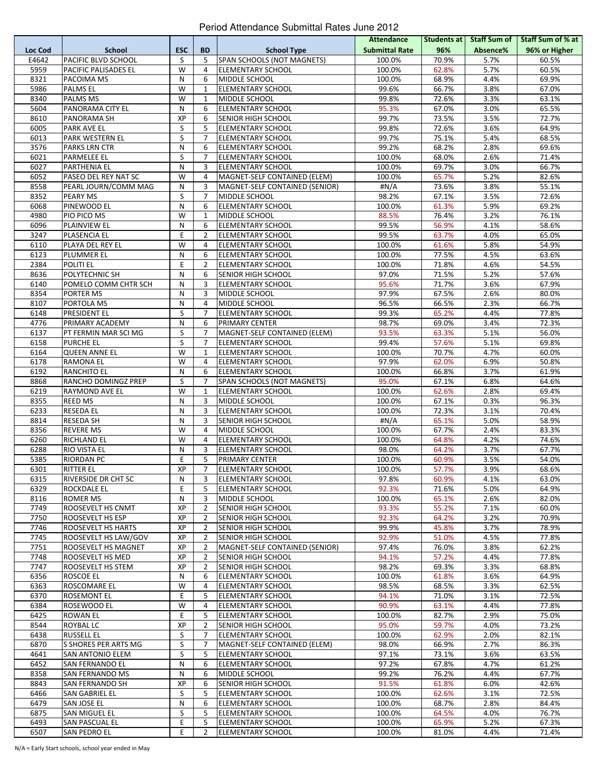|         |                         |                |                                  |                                | <b>Attendance</b>     | Students at |          | Staff Sum of Staff Sum of % at |
|---------|-------------------------|----------------|----------------------------------|--------------------------------|-----------------------|-------------|----------|--------------------------------|
| Loc Cod | <b>School</b>           | <b>ESC</b>     | <b>BD</b>                        | <b>School Type</b>             | <b>Submittal Rate</b> | 96%         | Absence% | 96% or Higher                  |
| E4642   | PACIFIC BLVD SCHOOL     | S              | 5                                | SPAN SCHOOLS (NOT MAGNETS)     | 100.0%                | 70.9%       | 5.7%     | 60.5%                          |
| 5959    | PACIFIC PALISADES EL    | W              | 4                                | <b>ELEMENTARY SCHOOL</b>       | 100.0%                | 62.8%       | 5.7%     | 60.5%                          |
| 8321    | PACOIMA MS              | N              | 6                                | <b>MIDDLE SCHOOL</b>           | 100.0%                | 68.9%       | 4.4%     | 69.9%                          |
| 5986    | PALMS EL                | W              | $\mathbf{1}$                     | <b>ELEMENTARY SCHOOL</b>       | 99.6%                 | 66.7%       | 3.8%     | 67.0%                          |
|         | <b>PALMS MS</b>         | W              |                                  |                                | 99.8%                 |             |          | 63.1%                          |
| 8340    |                         |                | 1                                | MIDDLE SCHOOL                  |                       | 72.6%       | 3.3%     |                                |
| 5604    | PANORAMA CITY EL        | N              | 6                                | <b>ELEMENTARY SCHOOL</b>       | 95.3%                 | 67.0%       | 3.0%     | 65.5%                          |
| 8610    | PANORAMA SH             | XP             | 6                                | SENIOR HIGH SCHOOL             | 99.7%                 | 73.5%       | 3.5%     | 72.7%                          |
| 6005    | PARK AVE EL             | S              | 5                                | <b>ELEMENTARY SCHOOL</b>       | 99.8%                 | 72.6%       | 3.6%     | 64.9%                          |
| 6013    | PARK WESTERN EL         | S              | 7                                | <b>ELEMENTARY SCHOOL</b>       | 99.7%                 | 75.1%       | 5.4%     | 68.5%                          |
| 3576    | PARKS LRN CTR           | ${\sf N}$      | 6                                | ELEMENTARY SCHOOL              | 99.2%                 | 68.2%       | 2.8%     | 69.6%                          |
| 6021    | PARMELEE EL             | S              | $\overline{7}$                   | <b>ELEMENTARY SCHOOL</b>       | 100.0%                | 68.0%       | 2.6%     | 71.4%                          |
| 6027    | PARTHENIA EL            | N              | 3                                | <b>ELEMENTARY SCHOOL</b>       | 100.0%                | 69.7%       | 3.0%     | 66.7%                          |
| 6052    | PASEO DEL REY NAT SC    | W              | 4                                | MAGNET-SELF CONTAINED (ELEM)   | 100.0%                | 65.7%       | 5.2%     | 82.6%                          |
| 8558    | PEARL JOURN/COMM MAG    | N              | 3                                | MAGNET-SELF CONTAINED (SENIOR) | #N/A                  | 73.6%       | 3.8%     | 55.1%                          |
| 8352    | <b>PEARY MS</b>         | S              | 7                                | MIDDLE SCHOOL                  | 98.2%                 | 67.1%       | 3.5%     | 72.6%                          |
|         |                         |                |                                  |                                |                       |             |          |                                |
| 6068    | PINEWOOD EL             | ${\sf N}$      | 6                                | <b>ELEMENTARY SCHOOL</b>       | 100.0%                | 61.3%       | 5.9%     | 69.2%                          |
| 4980    | PIO PICO MS             | W              | $\mathbf{1}$                     | MIDDLE SCHOOL                  | 88.5%                 | 76.4%       | 3.2%     | 76.1%                          |
| 6096    | PLAINVIEW EL            | ${\sf N}$      | 6                                | <b>ELEMENTARY SCHOOL</b>       | 99.5%                 | 56.9%       | 4.1%     | 58.6%                          |
| 3247    | PLASENCIA EL            | E              | $\overline{2}$                   | ELEMENTARY SCHOOL              | 99.5%                 | 63.7%       | 4.0%     | 65.0%                          |
| 6110    | PLAYA DEL REY EL        | W              | 4                                | <b>ELEMENTARY SCHOOL</b>       | 100.0%                | 61.6%       | 5.8%     | 54.9%                          |
| 6123    | <b>PLUMMER EL</b>       | N              | 6                                | <b>ELEMENTARY SCHOOL</b>       | 100.0%                | 77.5%       | 4.5%     | 63.6%                          |
| 2384    | POLITI EL               | E              | $\overline{2}$                   | <b>ELEMENTARY SCHOOL</b>       | 100.0%                | 71.8%       | 4.6%     | 54.5%                          |
| 8636    | POLYTECHNIC SH          | ${\sf N}$      | 6                                | SENIOR HIGH SCHOOL             | 97.0%                 | 71.5%       | 5.2%     | 57.6%                          |
| 6140    | POMELO COMM CHTR SCH    | N              | 3                                | <b>ELEMENTARY SCHOOL</b>       | 95.6%                 | 71.7%       | 3.6%     | 67.9%                          |
| 8354    | PORTER MS               | N              | 3                                | MIDDLE SCHOOL                  | 97.9%                 | 67.5%       | 2.6%     | 80.0%                          |
| 8107    | PORTOLA MS              | ${\sf N}$      | 4                                | MIDDLE SCHOOL                  | 96.5%                 | 66.5%       | 2.3%     | 66.7%                          |
|         |                         |                |                                  |                                |                       |             |          |                                |
| 6148    | PRESIDENT EL            | S              | $\overline{7}$                   | <b>ELEMENTARY SCHOOL</b>       | 99.3%                 | 65.2%       | 4.4%     | 77.8%                          |
| 4776    | PRIMARY ACADEMY         | N              | 6                                | PRIMARY CENTER                 | 98.7%                 | 69.0%       | 3.4%     | 72.3%                          |
| 6137    | PT FERMIN MAR SCI MG    | S              | $\overline{7}$                   | MAGNET-SELF CONTAINED (ELEM)   | 93.5%                 | 63.3%       | 5.1%     | 56.0%                          |
| 6158    | PURCHE EL               | S              | $\overline{7}$                   | <b>ELEMENTARY SCHOOL</b>       | 99.4%                 | 57.6%       | 5.1%     | 69.8%                          |
| 6164    | <b>QUEEN ANNE EL</b>    | $\overline{W}$ | $\mathbf{1}$                     | <b>ELEMENTARY SCHOOL</b>       | 100.0%                | 70.7%       | 4.7%     | 60.0%                          |
| 6178    | <b>RAMONA EL</b>        | W              | 4                                | ELEMENTARY SCHOOL              | 97.9%                 | 62.0%       | 6.9%     | 50.8%                          |
| 6192    | RANCHITO EL             | N              | 6                                | <b>ELEMENTARY SCHOOL</b>       | 100.0%                | 66.8%       | 3.7%     | 61.9%                          |
| 8868    | RANCHO DOMINGZ PREP     | S              | 7                                | SPAN SCHOOLS (NOT MAGNETS)     | 95.0%                 | 67.1%       | 6.8%     | 64.6%                          |
| 6219    | RAYMOND AVE EL          | W              | $\mathbf{1}$                     | <b>ELEMENTARY SCHOOL</b>       | 100.0%                | 62.6%       | 2.8%     | 69.4%                          |
| 8355    | <b>REED MS</b>          | N              | 3                                | MIDDLE SCHOOL                  | 100.0%                | 67.1%       | 0.3%     | 96.3%                          |
| 6233    |                         | N              | 3                                |                                |                       |             | 3.1%     | 70.4%                          |
|         | <b>RESEDA EL</b>        |                |                                  | <b>ELEMENTARY SCHOOL</b>       | 100.0%                | 72.3%       |          |                                |
| 8814    | <b>RESEDA SH</b>        | N              | 3                                | SENIOR HIGH SCHOOL             | #N/A                  | 65.1%       | 5.0%     | 58.9%                          |
| 8356    | <b>REVERE MS</b>        | W              | 4                                | MIDDLE SCHOOL                  | 100.0%                | 67.7%       | 2.4%     | 83.3%                          |
| 6260    | <b>RICHLAND EL</b>      | W              | 4                                | <b>ELEMENTARY SCHOOL</b>       | 100.0%                | 64.8%       | 4.2%     | 74.6%                          |
| 6288    | RIO VISTA EL            | N              | 3                                | ELEMENTARY SCHOOL              | 98.0%                 | 64.2%       | 3.7%     | 67.7%                          |
| 5385    | RIORDAN PC              | E              | 5                                | PRIMARY CENTER                 | 100.0%                | 60.9%       | 3.5%     | 54.0%                          |
| 6301    | <b>RITTER EL</b>        | XP             | $\overline{7}$                   | <b>ELEMENTARY SCHOOL</b>       | 100.0%                | 57.7%       | 3.9%     | 68.6%                          |
| 6315    | RIVERSIDE DR CHT SC     | N              | 3                                | <b>ELEMENTARY SCHOOL</b>       | 97.8%                 | 60.9%       | 4.1%     | 63.0%                          |
| 6329    | ROCKDALE EL             | E              | 5                                | <b>ELEMENTARY SCHOOL</b>       | 92.3%                 | 71.6%       | 5.0%     | 64.9%                          |
| 8116    | <b>ROMER MS</b>         | N              | 3                                | MIDDLE SCHOOL                  | 100.0%                | 65.1%       | 2.6%     | 82.0%                          |
| 7749    | ROOSEVELT HS CNMT       | ХP             | $\overline{2}$                   | SENIOR HIGH SCHOOL             | 93.3%                 | 55.2%       | 7.1%     | 60.0%                          |
| 7750    | ROOSEVELT HS ESP        | XP             |                                  | SENIOR HIGH SCHOOL             | 92.3%                 | 64.2%       | 3.2%     | 70.9%                          |
| 7746    |                         | ХP             | $\overline{2}$<br>$\overline{2}$ |                                | 99.9%                 |             | 3.7%     | 78.9%                          |
|         | ROOSEVELT HS HARTS      |                |                                  | SENIOR HIGH SCHOOL             |                       | 45.8%       |          |                                |
| 7745    | ROOSEVELT HS LAW/GOV    | ХP             | 2                                | SENIOR HIGH SCHOOL             | 92.9%                 | 51.0%       | 4.5%     | 77.8%                          |
| 7751    | ROOSEVELT HS MAGNET     | ХP             | $\overline{2}$                   | MAGNET-SELF CONTAINED (SENIOR) | 97.4%                 | 76.0%       | 3.8%     | 62.2%                          |
| 7748    | ROOSEVELT HS MED        | ХP             | $\overline{2}$                   | SENIOR HIGH SCHOOL             | 94.1%                 | 57.2%       | 4.4%     | 77.8%                          |
| 7747    | ROOSEVELT HS STEM       | ХP             | $\overline{2}$                   | SENIOR HIGH SCHOOL             | 98.2%                 | 69.3%       | 3.3%     | 68.8%                          |
| 6356    | <b>ROSCOE EL</b>        | N              | 6                                | ELEMENTARY SCHOOL              | 100.0%                | 61.8%       | 3.6%     | 64.9%                          |
| 6363    | ROSCOMARE EL            | W              | 4                                | <b>ELEMENTARY SCHOOL</b>       | 98.5%                 | 68.5%       | 3.3%     | 62.5%                          |
| 6370    | <b>ROSEMONT EL</b>      | E              | 5                                | <b>ELEMENTARY SCHOOL</b>       | 94.1%                 | 71.0%       | 3.1%     | 72.5%                          |
| 6384    | ROSEWOOD EL             | W              | 4                                | ELEMENTARY SCHOOL              | 90.9%                 | 63.1%       | 4.4%     | 77.8%                          |
| 6425    | <b>ROWAN EL</b>         | E              | 5                                | <b>ELEMENTARY SCHOOL</b>       | 100.0%                | 82.7%       | 2.9%     | 75.0%                          |
| 8544    | <b>ROYBAL LC</b>        | ΧP             | 2                                | SENIOR HIGH SCHOOL             | 95.0%                 | 59.7%       | 4.0%     | 73.2%                          |
|         |                         |                |                                  |                                |                       |             |          |                                |
| 6438    | <b>RUSSELL EL</b>       | S              | 7                                | <b>ELEMENTARY SCHOOL</b>       | 100.0%                | 62.9%       | 2.0%     | 82.1%                          |
| 6870    | S SHORES PER ARTS MG    | S              | $\overline{7}$                   | MAGNET-SELF CONTAINED (ELEM)   | 98.0%                 | 66.9%       | 2.7%     | 86.3%                          |
| 4641    | <b>SAN ANTONIO ELEM</b> | S              | 5                                | <b>ELEMENTARY SCHOOL</b>       | 97.1%                 | 73.1%       | 3.6%     | 63.5%                          |
| 6452    | SAN FERNANDO EL         | N              | 6                                | ELEMENTARY SCHOOL              | 97.2%                 | 67.8%       | 4.7%     | 61.2%                          |
| 8358    | SAN FERNANDO MS         | N              | 6                                | MIDDLE SCHOOL                  | 99.2%                 | 76.2%       | 4.4%     | 67.7%                          |
| 8843    | SAN FERNANDO SH         | ХP             | 6                                | SENIOR HIGH SCHOOL             | 91.5%                 | 61.8%       | 6.0%     | 42.6%                          |
| 6466    | SAN GABRIEL EL          | S              | 5                                | ELEMENTARY SCHOOL              | 100.0%                | 62.6%       | 3.1%     | 72.5%                          |
| 6479    | SAN JOSE EL             | N              | 6                                | <b>ELEMENTARY SCHOOL</b>       | 100.0%                | 68.7%       | 2.8%     | 84.4%                          |
| 6875    | SAN MIGUEL EL           | S              | 5                                | ELEMENTARY SCHOOL              | 100.0%                | 64.5%       | 4.0%     | 76.7%                          |
| 6493    | SAN PASCUAL EL          | E              | 5                                | ELEMENTARY SCHOOL              | 100.0%                | 65.9%       | 5.2%     | 67.3%                          |
|         |                         |                |                                  |                                |                       |             |          |                                |
| 6507    | SAN PEDRO EL            | E.             | $\overline{2}$                   | <b>ELEMENTARY SCHOOL</b>       | 100.0%                | 81.0%       | 4.4%     | 71.4%                          |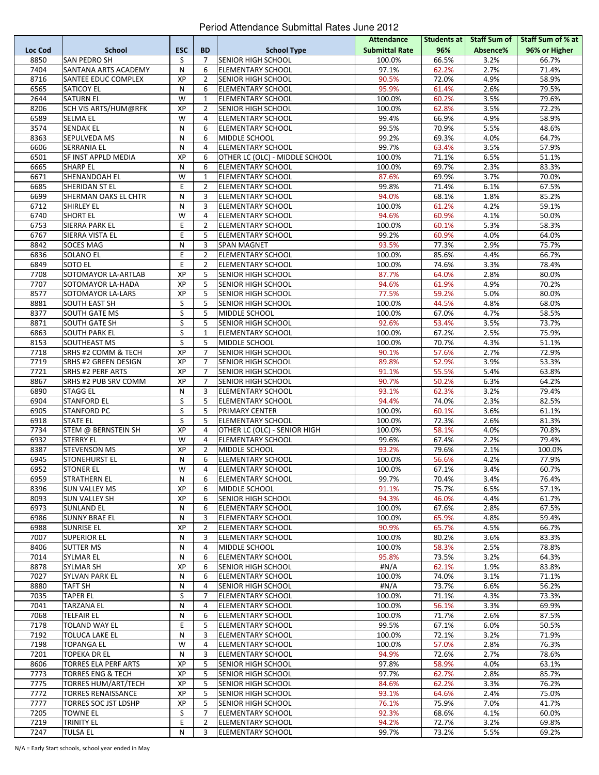|         |                              |            |                |                                | <b>Attendance</b>     | Students at |          | Staff Sum of Staff Sum of % at |
|---------|------------------------------|------------|----------------|--------------------------------|-----------------------|-------------|----------|--------------------------------|
| Loc Cod | <b>School</b>                | <b>ESC</b> | <b>BD</b>      | <b>School Type</b>             | <b>Submittal Rate</b> | 96%         | Absence% | 96% or Higher                  |
| 8850    | SAN PEDRO SH                 | S          | $\overline{7}$ | SENIOR HIGH SCHOOL             | 100.0%                | 66.5%       | 3.2%     | 66.7%                          |
| 7404    | SANTANA ARTS ACADEMY         | N          | 6              | <b>ELEMENTARY SCHOOL</b>       | 97.1%                 | 62.2%       | 2.7%     | 71.4%                          |
| 8716    | SANTEE EDUC COMPLEX          | ХP         | $\overline{2}$ | SENIOR HIGH SCHOOL             | 90.5%                 | 72.0%       | 4.9%     | 58.9%                          |
| 6565    | <b>SATICOY EL</b>            | N          | 6              | <b>ELEMENTARY SCHOOL</b>       | 95.9%                 | 61.4%       | 2.6%     | 79.5%                          |
|         | <b>SATURN EL</b>             | W          |                |                                |                       |             |          |                                |
| 2644    |                              |            | $\mathbf{1}$   | ELEMENTARY SCHOOL              | 100.0%                | 60.2%       | 3.5%     | 79.6%                          |
| 8206    | SCH VIS ARTS/HUM@RFK         | XP         | 2              | SENIOR HIGH SCHOOL             | 100.0%                | 62.8%       | 3.5%     | 72.2%                          |
| 6589    | SELMA EL                     | W          | 4              | ELEMENTARY SCHOOL              | 99.4%                 | 66.9%       | 4.9%     | 58.9%                          |
| 3574    | <b>SENDAK EL</b>             | N          | 6              | <b>ELEMENTARY SCHOOL</b>       | 99.5%                 | 70.9%       | 5.5%     | 48.6%                          |
| 8363    | SEPULVEDA MS                 | N          | 6              | MIDDLE SCHOOL                  | 99.2%                 | 69.3%       | 4.0%     | 64.7%                          |
| 6606    | <b>SERRANIA EL</b>           | N          | 4              | <b>ELEMENTARY SCHOOL</b>       | 99.7%                 | 63.4%       | 3.5%     | 57.9%                          |
| 6501    | SF INST APPLD MEDIA          | XP         | 6              | OTHER LC (OLC) - MIDDLE SCHOOL | 100.0%                | 71.1%       | 6.5%     | 51.1%                          |
| 6665    | <b>SHARP EL</b>              | N          | 6              | <b>ELEMENTARY SCHOOL</b>       | 100.0%                | 69.7%       | 2.3%     | 83.3%                          |
| 6671    | SHENANDOAH EL                | W          | $\mathbf{1}$   | ELEMENTARY SCHOOL              | 87.6%                 | 69.9%       | 3.7%     | 70.0%                          |
| 6685    | SHERIDAN ST EL               | E          | $\overline{2}$ | <b>ELEMENTARY SCHOOL</b>       | 99.8%                 | 71.4%       | 6.1%     | 67.5%                          |
| 6699    | SHERMAN OAKS EL CHTR         | N          | 3              | ELEMENTARY SCHOOL              | 94.0%                 | 68.1%       | 1.8%     | 85.2%                          |
| 6712    | <b>SHIRLEY EL</b>            | N          | 3              | ELEMENTARY SCHOOL              | 100.0%                | 61.2%       | 4.2%     | 59.1%                          |
|         |                              |            |                |                                |                       |             |          |                                |
| 6740    | <b>SHORT EL</b>              | W          | 4              | <b>ELEMENTARY SCHOOL</b>       | 94.6%                 | 60.9%       | 4.1%     | 50.0%                          |
| 6753    | SIERRA PARK EL               | E          | 2              | ELEMENTARY SCHOOL              | 100.0%                | 60.1%       | 5.3%     | 58.3%                          |
| 6767    | SIERRA VISTA EL              | E          | 5              | ELEMENTARY SCHOOL              | 99.2%                 | 60.9%       | 4.0%     | 64.0%                          |
| 8842    | <b>SOCES MAG</b>             | N          | 3              | <b>SPAN MAGNET</b>             | 93.5%                 | 77.3%       | 2.9%     | 75.7%                          |
| 6836    | <b>SOLANO EL</b>             | E          | $\overline{2}$ | <b>ELEMENTARY SCHOOL</b>       | 100.0%                | 85.6%       | 4.4%     | 66.7%                          |
| 6849    | <b>SOTO EL</b>               | E          | $\overline{2}$ | <b>ELEMENTARY SCHOOL</b>       | 100.0%                | 74.6%       | 3.3%     | 78.4%                          |
| 7708    | SOTOMAYOR LA-ARTLAB          | XP         | 5              | SENIOR HIGH SCHOOL             | 87.7%                 | 64.0%       | 2.8%     | 80.0%                          |
| 7707    | SOTOMAYOR LA-HADA            | XP         | 5              | SENIOR HIGH SCHOOL             | 94.6%                 | 61.9%       | 4.9%     | 70.2%                          |
| 8577    | SOTOMAYOR LA-LARS            | XP         | 5              | SENIOR HIGH SCHOOL             | 77.5%                 | 59.2%       | 5.0%     | 80.0%                          |
| 8881    | <b>SOUTH EAST SH</b>         | S          | 5              | SENIOR HIGH SCHOOL             | 100.0%                | 44.5%       | 4.8%     | 68.0%                          |
| 8377    |                              | S          | 5              |                                |                       |             | 4.7%     | 58.5%                          |
|         | SOUTH GATE MS                |            |                | MIDDLE SCHOOL                  | 100.0%                | 67.0%       |          |                                |
| 8871    | <b>SOUTH GATE SH</b>         | S          | 5              | SENIOR HIGH SCHOOL             | 92.6%                 | 53.4%       | 3.5%     | 73.7%                          |
| 6863    | <b>SOUTH PARK EL</b>         | S          | 1              | ELEMENTARY SCHOOL              | 100.0%                | 67.2%       | 2.5%     | 75.9%                          |
| 8153    | SOUTHEAST MS                 | S          | 5              | MIDDLE SCHOOL                  | 100.0%                | 70.7%       | 4.3%     | 51.1%                          |
| 7718    | SRHS #2 COMM & TECH          | XP         | 7              | SENIOR HIGH SCHOOL             | 90.1%                 | 57.6%       | 2.7%     | 72.9%                          |
| 7719    | SRHS #2 GREEN DESIGN         | XP         | $\overline{7}$ | SENIOR HIGH SCHOOL             | 89.8%                 | 52.9%       | 3.9%     | 53.3%                          |
| 7721    | <b>SRHS #2 PERF ARTS</b>     | XP         | 7              | SENIOR HIGH SCHOOL             | 91.1%                 | 55.5%       | 5.4%     | 63.8%                          |
| 8867    | SRHS #2 PUB SRV COMM         | XP         | $\overline{7}$ | SENIOR HIGH SCHOOL             | 90.7%                 | 50.2%       | 6.3%     | 64.2%                          |
| 6890    | <b>STAGG EL</b>              | N          | 3              | <b>ELEMENTARY SCHOOL</b>       | 93.1%                 | 62.3%       | 3.2%     | 79.4%                          |
| 6904    | <b>STANFORD EL</b>           | S          | 5              | <b>ELEMENTARY SCHOOL</b>       | 94.4%                 | 74.0%       | 2.3%     | 82.5%                          |
| 6905    | <b>STANFORD PC</b>           | S          | 5              | PRIMARY CENTER                 | 100.0%                | 60.1%       | 3.6%     | 61.1%                          |
| 6918    | <b>STATE EL</b>              | S          | 5              | <b>ELEMENTARY SCHOOL</b>       | 100.0%                | 72.3%       | 2.6%     | 81.3%                          |
|         |                              |            |                |                                |                       |             |          |                                |
| 7734    | STEM @ BERNSTEIN SH          | XP         | 4              | OTHER LC (OLC) - SENIOR HIGH   | 100.0%                | 58.1%       | 4.0%     | 70.8%                          |
| 6932    | <b>STERRY EL</b>             | W          | 4              | <b>ELEMENTARY SCHOOL</b>       | 99.6%                 | 67.4%       | 2.2%     | 79.4%                          |
| 8387    | <b>STEVENSON MS</b>          | ХP         | $\overline{2}$ | <b>MIDDLE SCHOOL</b>           | 93.2%                 | 79.6%       | 2.1%     | 100.0%                         |
| 6945    | STONEHURST EL                | N          | 6              | ELEMENTARY SCHOOL              | 100.0%                | 56.6%       | 4.2%     | 77.9%                          |
| 6952    | <b>STONER EL</b>             | W          | 4              | <b>ELEMENTARY SCHOOL</b>       | 100.0%                | 67.1%       | 3.4%     | 60.7%                          |
| 6959    | STRATHERN EL                 | N          | 6              | ELEMENTARY SCHOOL              | 99.7%                 | 70.4%       | 3.4%     | 76.4%                          |
| 8396    | <b>SUN VALLEY MS</b>         | XP         | 6              | MIDDLE SCHOOL                  | 91.1%                 | 75.7%       | 6.5%     | 57.1%                          |
| 8093    | <b>SUN VALLEY SH</b>         | XP         | 6              | SENIOR HIGH SCHOOL             | 94.3%                 | 46.0%       | 4.4%     | 61.7%                          |
| 6973    | <b>SUNLAND EL</b>            | N          | 6              | <b>ELEMENTARY SCHOOL</b>       | 100.0%                | 67.6%       | 2.8%     | 67.5%                          |
| 6986    | <b>SUNNY BRAE EL</b>         | N          | 3              | <b>ELEMENTARY SCHOOL</b>       | 100.0%                | 65.9%       | 4.8%     | 59.4%                          |
| 6988    | <b>SUNRISE EL</b>            | ХP         | $\overline{2}$ | <b>ELEMENTARY SCHOOL</b>       | 90.9%                 | 65.7%       | 4.5%     | 66.7%                          |
| 7007    | <b>SUPERIOR EL</b>           | N          | 3              | <b>ELEMENTARY SCHOOL</b>       | 100.0%                | 80.2%       | 3.6%     | 83.3%                          |
| 8406    | <b>SUTTER MS</b>             |            | 4              |                                | 100.0%                | 58.3%       | 2.5%     | 78.8%                          |
|         |                              | N          |                | MIDDLE SCHOOL                  |                       |             |          |                                |
| 7014    | <b>SYLMAR EL</b>             | N          | 6              | <b>ELEMENTARY SCHOOL</b>       | 95.8%                 | 73.5%       | 3.2%     | 64.3%                          |
| 8878    | <b>SYLMAR SH</b>             | ΧP         | 6              | SENIOR HIGH SCHOOL             | #N/A                  | 62.1%       | 1.9%     | 83.8%                          |
| 7027    | <b>SYLVAN PARK EL</b>        | N          | 6              | ELEMENTARY SCHOOL              | 100.0%                | 74.0%       | 3.1%     | 71.1%                          |
| 8880    | <b>TAFT SH</b>               | N          | 4              | SENIOR HIGH SCHOOL             | #N/A                  | 73.7%       | 6.6%     | 56.2%                          |
| 7035    | <b>TAPER EL</b>              | S          | 7              | <b>ELEMENTARY SCHOOL</b>       | 100.0%                | 71.1%       | 4.3%     | 73.3%                          |
| 7041    | <b>TARZANA EL</b>            | N          | 4              | ELEMENTARY SCHOOL              | 100.0%                | 56.1%       | 3.3%     | 69.9%                          |
| 7068    | <b>TELFAIR EL</b>            | N          | 6              | <b>ELEMENTARY SCHOOL</b>       | 100.0%                | 71.7%       | 2.6%     | 87.5%                          |
| 7178    | <b>TOLAND WAY EL</b>         | E          | 5              | <b>ELEMENTARY SCHOOL</b>       | 99.5%                 | 67.1%       | 6.0%     | 50.5%                          |
| 7192    | <b>TOLUCA LAKE EL</b>        | N          | 3              | ELEMENTARY SCHOOL              | 100.0%                | 72.1%       | 3.2%     | 71.9%                          |
| 7198    | <b>TOPANGA EL</b>            | W          | 4              | <b>ELEMENTARY SCHOOL</b>       | 100.0%                | 57.0%       | 2.8%     | 76.3%                          |
|         |                              |            |                |                                |                       |             |          |                                |
| 7201    | <b>TOPEKA DR EL</b>          | N          | 3              | ELEMENTARY SCHOOL              | 94.9%                 | 72.6%       | 2.7%     | 78.6%                          |
| 8606    | <b>TORRES ELA PERF ARTS</b>  | XP         | 5              | SENIOR HIGH SCHOOL             | 97.8%                 | 58.9%       | 4.0%     | 63.1%                          |
| 7773    | <b>TORRES ENG &amp; TECH</b> | ХP         | 5              | SENIOR HIGH SCHOOL             | 97.7%                 | 62.7%       | 2.8%     | 85.7%                          |
| 7775    | <b>TORRES HUM/ART/TECH</b>   | XP         | 5              | SENIOR HIGH SCHOOL             | 84.6%                 | 62.2%       | 3.3%     | 76.2%                          |
| 7772    | <b>TORRES RENAISSANCE</b>    | XP         | 5              | SENIOR HIGH SCHOOL             | 93.1%                 | 64.6%       | 2.4%     | 75.0%                          |
| 7777    | <b>TORRES SOC JST LDSHP</b>  | ХP         | 5              | SENIOR HIGH SCHOOL             | 76.1%                 | 75.9%       | 7.0%     | 41.7%                          |
| 7205    | <b>TOWNE EL</b>              | S          | 7              | <b>ELEMENTARY SCHOOL</b>       | 92.3%                 | 68.6%       | 4.1%     | 60.0%                          |
| 7219    | <b>TRINITY EL</b>            | E          | $\overline{2}$ | ELEMENTARY SCHOOL              | 94.2%                 | 72.7%       | 3.2%     | 69.8%                          |
| 7247    | <b>TULSA EL</b>              | N          | 3              | <b>ELEMENTARY SCHOOL</b>       | 99.7%                 | 73.2%       | 5.5%     | 69.2%                          |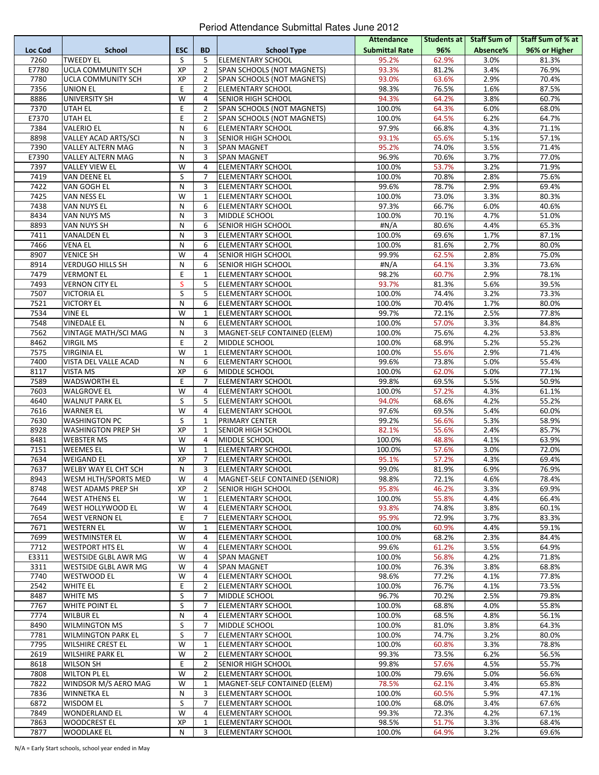|         |                           |            |                |                                | <b>Attendance</b>     | Students at |          | Staff Sum of Staff Sum of % at |
|---------|---------------------------|------------|----------------|--------------------------------|-----------------------|-------------|----------|--------------------------------|
| Loc Cod | <b>School</b>             | <b>ESC</b> | <b>BD</b>      | <b>School Type</b>             | <b>Submittal Rate</b> | 96%         | Absence% | 96% or Higher                  |
| 7260    | <b>TWEEDY EL</b>          | S          | 5              | <b>ELEMENTARY SCHOOL</b>       | 95.2%                 | 62.9%       | 3.0%     | 81.3%                          |
| E7780   | UCLA COMMUNITY SCH        | XP         | $\overline{2}$ | SPAN SCHOOLS (NOT MAGNETS)     | 93.3%                 | 81.2%       | 3.4%     | 76.9%                          |
| 7780    | UCLA COMMUNITY SCH        | ХP         | $\overline{2}$ | SPAN SCHOOLS (NOT MAGNETS)     | 93.0%                 | 63.6%       | 2.9%     | 70.4%                          |
| 7356    | UNION EL                  | E          | $\overline{2}$ | <b>ELEMENTARY SCHOOL</b>       | 98.3%                 | 76.5%       | 1.6%     | 87.5%                          |
|         |                           | W          | 4              |                                | 94.3%                 |             |          | 60.7%                          |
| 8886    | <b>UNIVERSITY SH</b>      |            |                | SENIOR HIGH SCHOOL             |                       | 64.2%       | 3.8%     |                                |
| 7370    | <b>UTAH EL</b>            | E          | $\overline{2}$ | SPAN SCHOOLS (NOT MAGNETS)     | 100.0%                | 64.3%       | 6.0%     | 68.0%                          |
| E7370   | UTAH EL                   | E          | $\overline{2}$ | SPAN SCHOOLS (NOT MAGNETS)     | 100.0%                | 64.5%       | 6.2%     | 64.7%                          |
| 7384    | <b>VALERIO EL</b>         | ${\sf N}$  | 6              | <b>ELEMENTARY SCHOOL</b>       | 97.9%                 | 66.8%       | 4.3%     | 71.1%                          |
| 8898    | VALLEY ACAD ARTS/SCI      | N          | 3              | SENIOR HIGH SCHOOL             | 93.1%                 | 65.6%       | 5.1%     | 57.1%                          |
| 7390    | VALLEY ALTERN MAG         | N          | 3              | SPAN MAGNET                    | 95.2%                 | 74.0%       | 3.5%     | 71.4%                          |
| E7390   | VALLEY ALTERN MAG         | ${\sf N}$  | 3              | <b>SPAN MAGNET</b>             | 96.9%                 | 70.6%       | 3.7%     | 77.0%                          |
| 7397    | <b>VALLEY VIEW EL</b>     | W          | 4              | <b>ELEMENTARY SCHOOL</b>       | 100.0%                | 53.7%       | 3.2%     | 71.9%                          |
| 7419    | VAN DEENE EL              | S          | 7              | ELEMENTARY SCHOOL              | 100.0%                | 70.8%       | 2.8%     | 75.6%                          |
| 7422    | VAN GOGH EL               | ${\sf N}$  | 3              | <b>ELEMENTARY SCHOOL</b>       | 99.6%                 | 78.7%       | 2.9%     | 69.4%                          |
| 7425    | VAN NESS EL               | W          | 1              | <b>ELEMENTARY SCHOOL</b>       | 100.0%                | 73.0%       | 3.3%     | 80.3%                          |
|         |                           |            |                |                                |                       |             |          |                                |
| 7438    | VAN NUYS EL               | N          | 6              | ELEMENTARY SCHOOL              | 97.3%                 | 66.7%       | 6.0%     | 40.6%                          |
| 8434    | VAN NUYS MS               | ${\sf N}$  | 3              | MIDDLE SCHOOL                  | 100.0%                | 70.1%       | 4.7%     | 51.0%                          |
| 8893    | VAN NUYS SH               | ${\sf N}$  | 6              | SENIOR HIGH SCHOOL             | #N/A                  | 80.6%       | 4.4%     | 65.3%                          |
| 7411    | <b>VANALDEN EL</b>        | N          | 3              | ELEMENTARY SCHOOL              | 100.0%                | 69.6%       | 1.7%     | 87.1%                          |
| 7466    | <b>VENA EL</b>            | ${\sf N}$  | 6              | <b>ELEMENTARY SCHOOL</b>       | 100.0%                | 81.6%       | 2.7%     | 80.0%                          |
| 8907    | <b>VENICE SH</b>          | W          | 4              | SENIOR HIGH SCHOOL             | 99.9%                 | 62.5%       | 2.8%     | 75.0%                          |
| 8914    | <b>VERDUGO HILLS SH</b>   | N          | 6              | SENIOR HIGH SCHOOL             | #N/A                  | 64.1%       | 3.3%     | 73.6%                          |
| 7479    | <b>VERMONT EL</b>         | E          | $\mathbf{1}$   | <b>ELEMENTARY SCHOOL</b>       | 98.2%                 | 60.7%       | 2.9%     | 78.1%                          |
| 7493    | <b>VERNON CITY EL</b>     | S          | 5              | <b>ELEMENTARY SCHOOL</b>       | 93.7%                 | 81.3%       | 5.6%     | 39.5%                          |
| 7507    | <b>VICTORIA EL</b>        | S          | 5              | <b>ELEMENTARY SCHOOL</b>       | 100.0%                | 74.4%       | 3.2%     | 73.3%                          |
|         |                           | ${\sf N}$  | 6              |                                |                       |             |          |                                |
| 7521    | <b>VICTORY EL</b>         |            |                | <b>ELEMENTARY SCHOOL</b>       | 100.0%                | 70.4%       | 1.7%     | 80.0%                          |
| 7534    | <b>VINE EL</b>            | W          | 1              | <b>ELEMENTARY SCHOOL</b>       | 99.7%                 | 72.1%       | 2.5%     | 77.8%                          |
| 7548    | <b>VINEDALE EL</b>        | ${\sf N}$  | 6              | <b>ELEMENTARY SCHOOL</b>       | 100.0%                | 57.0%       | 3.3%     | 84.8%                          |
| 7562    | VINTAGE MATH/SCI MAG      | N          | 3              | MAGNET-SELF CONTAINED (ELEM)   | 100.0%                | 75.6%       | 4.2%     | 53.8%                          |
| 8462    | <b>VIRGIL MS</b>          | E          | $\overline{2}$ | MIDDLE SCHOOL                  | 100.0%                | 68.9%       | 5.2%     | 55.2%                          |
| 7575    | <b>VIRGINIA EL</b>        | W          | $\mathbf{1}$   | <b>ELEMENTARY SCHOOL</b>       | 100.0%                | 55.6%       | 2.9%     | 71.4%                          |
| 7400    | VISTA DEL VALLE ACAD      | N          | 6              | ELEMENTARY SCHOOL              | 99.6%                 | 73.8%       | 5.0%     | 55.4%                          |
| 8117    | <b>VISTA MS</b>           | XP         | 6              | MIDDLE SCHOOL                  | 100.0%                | 62.0%       | 5.0%     | 77.1%                          |
| 7589    | <b>WADSWORTH EL</b>       | E          | 7              | <b>ELEMENTARY SCHOOL</b>       | 99.8%                 | 69.5%       | 5.5%     | 50.9%                          |
| 7603    | <b>WALGROVE EL</b>        | W          | 4              | ELEMENTARY SCHOOL              | 100.0%                | 57.2%       | 4.3%     | 61.1%                          |
| 4640    | <b>WALNUT PARK EL</b>     | S          | 5              | <b>ELEMENTARY SCHOOL</b>       | 94.0%                 | 68.6%       | 4.2%     | 55.2%                          |
|         |                           | W          | 4              |                                |                       |             |          |                                |
| 7616    | <b>WARNER EL</b>          |            |                | <b>ELEMENTARY SCHOOL</b>       | 97.6%                 | 69.5%       | 5.4%     | 60.0%                          |
| 7630    | <b>WASHINGTON PC</b>      | S          | $\mathbf{1}$   | PRIMARY CENTER                 | 99.2%                 | 56.6%       | 5.3%     | 58.9%                          |
| 8928    | <b>WASHINGTON PREP SH</b> | XP         | $\mathbf{1}$   | SENIOR HIGH SCHOOL             | 82.1%                 | 55.6%       | 2.4%     | 85.7%                          |
| 8481    | <b>WEBSTER MS</b>         | W          | 4              | <b>MIDDLE SCHOOL</b>           | 100.0%                | 48.8%       | 4.1%     | 63.9%                          |
| 7151    | WEEMES EL                 | W          | $\mathbf{1}$   | ELEMENTARY SCHOOL              | 100.0%                | 57.6%       | 3.0%     | 72.0%                          |
| 7634    | <b>WEIGAND EL</b>         | ХP         | 7              | <b>ELEMENTARY SCHOOL</b>       | 95.1%                 | 57.2%       | 4.3%     | 69.4%                          |
| 7637    | WELBY WAY EL CHT SCH      | N          | 3              | <b>ELEMENTARY SCHOOL</b>       | 99.0%                 | 81.9%       | 6.9%     | 76.9%                          |
| 8943    | WESM HLTH/SPORTS MED      | W          | 4              | MAGNET-SELF CONTAINED (SENIOR) | 98.8%                 | 72.1%       | 4.6%     | 78.4%                          |
| 8748    | WEST ADAMS PREP SH        | XP         | $\overline{2}$ | SENIOR HIGH SCHOOL             | 95.8%                 | 46.2%       | 3.3%     | 69.9%                          |
| 7644    | <b>WEST ATHENS EL</b>     | W          | 1              | <b>ELEMENTARY SCHOOL</b>       | 100.0%                | 55.8%       | 4.4%     | 66.4%                          |
| 7649    | WEST HOLLYWOOD EL         | W          | 4              | <b>ELEMENTARY SCHOOL</b>       | 93.8%                 | 74.8%       | 3.8%     | 60.1%                          |
|         |                           |            |                |                                |                       |             |          |                                |
| 7654    | <b>WEST VERNON EL</b>     | E          | $\overline{7}$ | ELEMENTARY SCHOOL              | 95.9%                 | 72.9%       | 3.7%     | 83.3%                          |
| 7671    | <b>WESTERN EL</b>         | W          | $\mathbf{1}$   | <b>ELEMENTARY SCHOOL</b>       | 100.0%                | 60.9%       | 4.4%     | 59.1%                          |
| 7699    | <b>WESTMINSTER EL</b>     | W          | 4              | <b>ELEMENTARY SCHOOL</b>       | 100.0%                | 68.2%       | 2.3%     | 84.4%                          |
| 7712    | <b>WESTPORT HTS EL</b>    | W          | 4              | ELEMENTARY SCHOOL              | 99.6%                 | 61.2%       | 3.5%     | 64.9%                          |
| E3311   | WESTSIDE GLBL AWR MG      | W          | 4              | SPAN MAGNET                    | 100.0%                | 56.8%       | 4.2%     | 71.8%                          |
| 3311    | WESTSIDE GLBL AWR MG      | W          | 4              | <b>SPAN MAGNET</b>             | 100.0%                | 76.3%       | 3.8%     | 68.8%                          |
| 7740    | WESTWOOD EL               | W          | 4              | <b>ELEMENTARY SCHOOL</b>       | 98.6%                 | 77.2%       | 4.1%     | 77.8%                          |
| 2542    | WHITE EL                  | E          | $\overline{2}$ | <b>ELEMENTARY SCHOOL</b>       | 100.0%                | 76.7%       | 4.1%     | 73.5%                          |
| 8487    | <b>WHITE MS</b>           | S          | $\overline{7}$ | MIDDLE SCHOOL                  | 96.7%                 | 70.2%       | 2.5%     | 79.8%                          |
| 7767    | WHITE POINT EL            | S          | 7              | ELEMENTARY SCHOOL              | 100.0%                | 68.8%       | 4.0%     | 55.8%                          |
| 7774    | <b>WILBUR EL</b>          | ${\sf N}$  | 4              | <b>ELEMENTARY SCHOOL</b>       | 100.0%                | 68.5%       | 4.8%     | 56.1%                          |
|         |                           |            |                |                                |                       |             |          |                                |
| 8490    | <b>WILMINGTON MS</b>      | S          | 7              | MIDDLE SCHOOL                  | 100.0%                | 81.0%       | 3.8%     | 64.3%                          |
| 7781    | <b>WILMINGTON PARK EL</b> | S          | 7              | <b>ELEMENTARY SCHOOL</b>       | 100.0%                | 74.7%       | 3.2%     | 80.0%                          |
| 7795    | <b>WILSHIRE CREST EL</b>  | W          | $\mathbf{1}$   | <b>ELEMENTARY SCHOOL</b>       | 100.0%                | 60.8%       | 3.3%     | 78.8%                          |
| 2619    | <b>WILSHIRE PARK EL</b>   | W          | $\overline{2}$ | <b>ELEMENTARY SCHOOL</b>       | 99.3%                 | 73.5%       | 6.2%     | 56.5%                          |
| 8618    | <b>WILSON SH</b>          | E          | $\overline{2}$ | SENIOR HIGH SCHOOL             | 99.8%                 | 57.6%       | 4.5%     | 55.7%                          |
| 7808    | <b>WILTON PL EL</b>       | W          | $\overline{2}$ | <b>ELEMENTARY SCHOOL</b>       | 100.0%                | 79.6%       | 5.0%     | 56.6%                          |
| 7822    | WINDSOR M/S AERO MAG      | W          | 1              | MAGNET-SELF CONTAINED (ELEM)   | 78.5%                 | 62.1%       | 3.4%     | 65.8%                          |
| 7836    | WINNETKA EL               | Ν          | 3              | ELEMENTARY SCHOOL              | 100.0%                | 60.5%       | 5.9%     | 47.1%                          |
| 6872    | <b>WISDOM EL</b>          | S          | $\overline{7}$ | <b>ELEMENTARY SCHOOL</b>       | 100.0%                | 68.0%       | 3.4%     | 67.6%                          |
| 7849    | WONDERLAND EL             | W          | 4              | ELEMENTARY SCHOOL              | 99.3%                 | 72.3%       | 4.2%     | 67.1%                          |
|         |                           |            |                |                                |                       |             |          |                                |
| 7863    | <b>WOODCREST EL</b>       | ХP         | 1              | ELEMENTARY SCHOOL              | 98.5%                 | 51.7%       | 3.3%     | 68.4%                          |
| 7877    | WOODLAKE EL               | N          | 3              | <b>ELEMENTARY SCHOOL</b>       | 100.0%                | 64.9%       | 3.2%     | 69.6%                          |